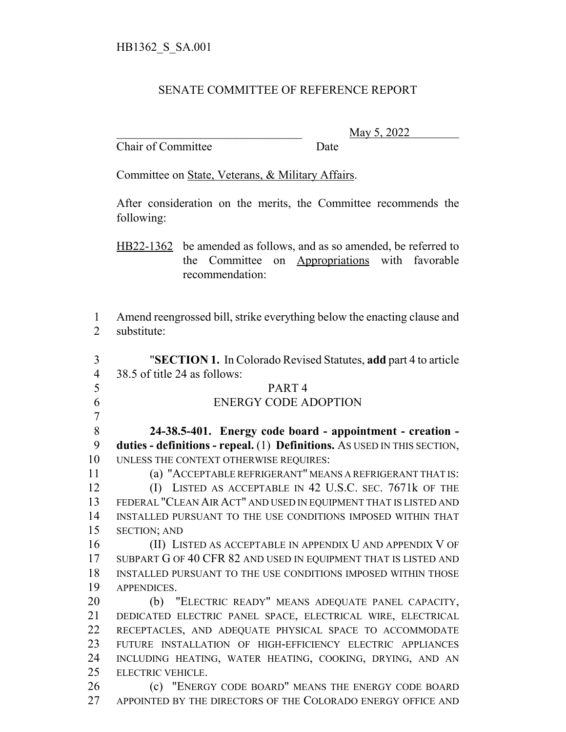## SENATE COMMITTEE OF REFERENCE REPORT

Chair of Committee Date

\_\_\_\_\_\_\_\_\_\_\_\_\_\_\_\_\_\_\_\_\_\_\_\_\_\_\_\_\_\_\_ May 5, 2022

Committee on State, Veterans, & Military Affairs.

After consideration on the merits, the Committee recommends the following:

HB22-1362 be amended as follows, and as so amended, be referred to the Committee on Appropriations with favorable recommendation:

 Amend reengrossed bill, strike everything below the enacting clause and substitute:

 "**SECTION 1.** In Colorado Revised Statutes, **add** part 4 to article 38.5 of title 24 as follows: PART 4 ENERGY CODE ADOPTION **24-38.5-401. Energy code board - appointment - creation - duties - definitions - repeal.** (1) **Definitions.** AS USED IN THIS SECTION, UNLESS THE CONTEXT OTHERWISE REQUIRES: (a) "ACCEPTABLE REFRIGERANT" MEANS A REFRIGERANT THAT IS: (I) LISTED AS ACCEPTABLE IN 42 U.S.C. SEC. 7671k OF THE FEDERAL "CLEAN AIR ACT" AND USED IN EQUIPMENT THAT IS LISTED AND INSTALLED PURSUANT TO THE USE CONDITIONS IMPOSED WITHIN THAT SECTION; AND (II) LISTED AS ACCEPTABLE IN APPENDIX U AND APPENDIX V OF 17 SUBPART G OF 40 CFR 82 AND USED IN EQUIPMENT THAT IS LISTED AND INSTALLED PURSUANT TO THE USE CONDITIONS IMPOSED WITHIN THOSE APPENDICES. (b) "ELECTRIC READY" MEANS ADEQUATE PANEL CAPACITY, DEDICATED ELECTRIC PANEL SPACE, ELECTRICAL WIRE, ELECTRICAL RECEPTACLES, AND ADEQUATE PHYSICAL SPACE TO ACCOMMODATE FUTURE INSTALLATION OF HIGH-EFFICIENCY ELECTRIC APPLIANCES INCLUDING HEATING, WATER HEATING, COOKING, DRYING, AND AN ELECTRIC VEHICLE. (c) "ENERGY CODE BOARD" MEANS THE ENERGY CODE BOARD APPOINTED BY THE DIRECTORS OF THE COLORADO ENERGY OFFICE AND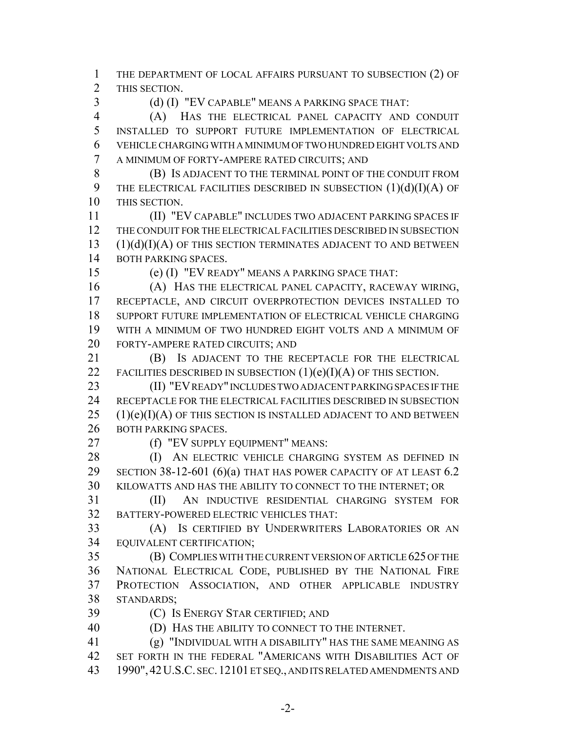THE DEPARTMENT OF LOCAL AFFAIRS PURSUANT TO SUBSECTION (2) OF THIS SECTION.

(d) (I) "EV CAPABLE" MEANS A PARKING SPACE THAT:

 (A) HAS THE ELECTRICAL PANEL CAPACITY AND CONDUIT INSTALLED TO SUPPORT FUTURE IMPLEMENTATION OF ELECTRICAL VEHICLE CHARGING WITH A MINIMUM OF TWO HUNDRED EIGHT VOLTS AND A MINIMUM OF FORTY-AMPERE RATED CIRCUITS; AND

 (B) IS ADJACENT TO THE TERMINAL POINT OF THE CONDUIT FROM 9 THE ELECTRICAL FACILITIES DESCRIBED IN SUBSECTION  $(1)(d)(I)(A)$  OF THIS SECTION.

 (II) "EV CAPABLE" INCLUDES TWO ADJACENT PARKING SPACES IF THE CONDUIT FOR THE ELECTRICAL FACILITIES DESCRIBED IN SUBSECTION  $(1)(d)(I)(A)$  OF THIS SECTION TERMINATES ADJACENT TO AND BETWEEN BOTH PARKING SPACES.

(e) (I) "EV READY" MEANS A PARKING SPACE THAT:

 (A) HAS THE ELECTRICAL PANEL CAPACITY, RACEWAY WIRING, RECEPTACLE, AND CIRCUIT OVERPROTECTION DEVICES INSTALLED TO SUPPORT FUTURE IMPLEMENTATION OF ELECTRICAL VEHICLE CHARGING WITH A MINIMUM OF TWO HUNDRED EIGHT VOLTS AND A MINIMUM OF FORTY-AMPERE RATED CIRCUITS; AND

 (B) IS ADJACENT TO THE RECEPTACLE FOR THE ELECTRICAL 22 FACILITIES DESCRIBED IN SUBSECTION  $(1)(e)(I)(A)$  OF THIS SECTION.

 (II) "EV READY" INCLUDES TWO ADJACENT PARKING SPACES IF THE RECEPTACLE FOR THE ELECTRICAL FACILITIES DESCRIBED IN SUBSECTION (1)(e)(I)(A) OF THIS SECTION IS INSTALLED ADJACENT TO AND BETWEEN 26 BOTH PARKING SPACES.

(f) "EV SUPPLY EQUIPMENT" MEANS:

28 (I) AN ELECTRIC VEHICLE CHARGING SYSTEM AS DEFINED IN 29 SECTION 38-12-601 (6)(a) THAT HAS POWER CAPACITY OF AT LEAST 6.2 KILOWATTS AND HAS THE ABILITY TO CONNECT TO THE INTERNET; OR

 (II) AN INDUCTIVE RESIDENTIAL CHARGING SYSTEM FOR BATTERY-POWERED ELECTRIC VEHICLES THAT:

 (A) IS CERTIFIED BY UNDERWRITERS LABORATORIES OR AN EQUIVALENT CERTIFICATION;

 (B) COMPLIES WITH THE CURRENT VERSION OF ARTICLE 625 OF THE NATIONAL ELECTRICAL CODE, PUBLISHED BY THE NATIONAL FIRE PROTECTION ASSOCIATION, AND OTHER APPLICABLE INDUSTRY STANDARDS;

(C) IS ENERGY STAR CERTIFIED; AND

(D) HAS THE ABILITY TO CONNECT TO THE INTERNET.

 (g) "INDIVIDUAL WITH A DISABILITY" HAS THE SAME MEANING AS SET FORTH IN THE FEDERAL "AMERICANS WITH DISABILITIES ACT OF 1990",42U.S.C. SEC.12101 ET SEQ., AND ITS RELATED AMENDMENTS AND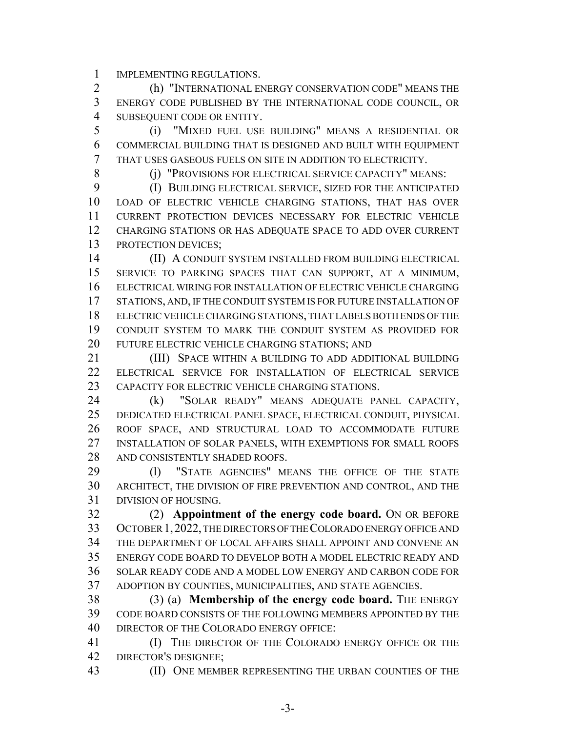IMPLEMENTING REGULATIONS.

 (h) "INTERNATIONAL ENERGY CONSERVATION CODE" MEANS THE ENERGY CODE PUBLISHED BY THE INTERNATIONAL CODE COUNCIL, OR SUBSEQUENT CODE OR ENTITY.

 (i) "MIXED FUEL USE BUILDING" MEANS A RESIDENTIAL OR COMMERCIAL BUILDING THAT IS DESIGNED AND BUILT WITH EQUIPMENT THAT USES GASEOUS FUELS ON SITE IN ADDITION TO ELECTRICITY.

(j) "PROVISIONS FOR ELECTRICAL SERVICE CAPACITY" MEANS:

 (I) BUILDING ELECTRICAL SERVICE, SIZED FOR THE ANTICIPATED LOAD OF ELECTRIC VEHICLE CHARGING STATIONS, THAT HAS OVER CURRENT PROTECTION DEVICES NECESSARY FOR ELECTRIC VEHICLE CHARGING STATIONS OR HAS ADEQUATE SPACE TO ADD OVER CURRENT PROTECTION DEVICES;

 (II) A CONDUIT SYSTEM INSTALLED FROM BUILDING ELECTRICAL SERVICE TO PARKING SPACES THAT CAN SUPPORT, AT A MINIMUM, ELECTRICAL WIRING FOR INSTALLATION OF ELECTRIC VEHICLE CHARGING 17 STATIONS, AND, IF THE CONDUIT SYSTEM IS FOR FUTURE INSTALLATION OF ELECTRIC VEHICLE CHARGING STATIONS, THAT LABELS BOTH ENDS OF THE CONDUIT SYSTEM TO MARK THE CONDUIT SYSTEM AS PROVIDED FOR FUTURE ELECTRIC VEHICLE CHARGING STATIONS; AND

 (III) SPACE WITHIN A BUILDING TO ADD ADDITIONAL BUILDING ELECTRICAL SERVICE FOR INSTALLATION OF ELECTRICAL SERVICE 23 CAPACITY FOR ELECTRIC VEHICLE CHARGING STATIONS.

 (k) "SOLAR READY" MEANS ADEQUATE PANEL CAPACITY, DEDICATED ELECTRICAL PANEL SPACE, ELECTRICAL CONDUIT, PHYSICAL ROOF SPACE, AND STRUCTURAL LOAD TO ACCOMMODATE FUTURE INSTALLATION OF SOLAR PANELS, WITH EXEMPTIONS FOR SMALL ROOFS 28 AND CONSISTENTLY SHADED ROOFS.

 (l) "STATE AGENCIES" MEANS THE OFFICE OF THE STATE ARCHITECT, THE DIVISION OF FIRE PREVENTION AND CONTROL, AND THE DIVISION OF HOUSING.

 (2) **Appointment of the energy code board.** ON OR BEFORE OCTOBER 1,2022, THE DIRECTORS OF THE COLORADO ENERGY OFFICE AND THE DEPARTMENT OF LOCAL AFFAIRS SHALL APPOINT AND CONVENE AN ENERGY CODE BOARD TO DEVELOP BOTH A MODEL ELECTRIC READY AND SOLAR READY CODE AND A MODEL LOW ENERGY AND CARBON CODE FOR ADOPTION BY COUNTIES, MUNICIPALITIES, AND STATE AGENCIES.

 (3) (a) **Membership of the energy code board.** THE ENERGY CODE BOARD CONSISTS OF THE FOLLOWING MEMBERS APPOINTED BY THE DIRECTOR OF THE COLORADO ENERGY OFFICE:

 (I) THE DIRECTOR OF THE COLORADO ENERGY OFFICE OR THE DIRECTOR'S DESIGNEE;

(II) ONE MEMBER REPRESENTING THE URBAN COUNTIES OF THE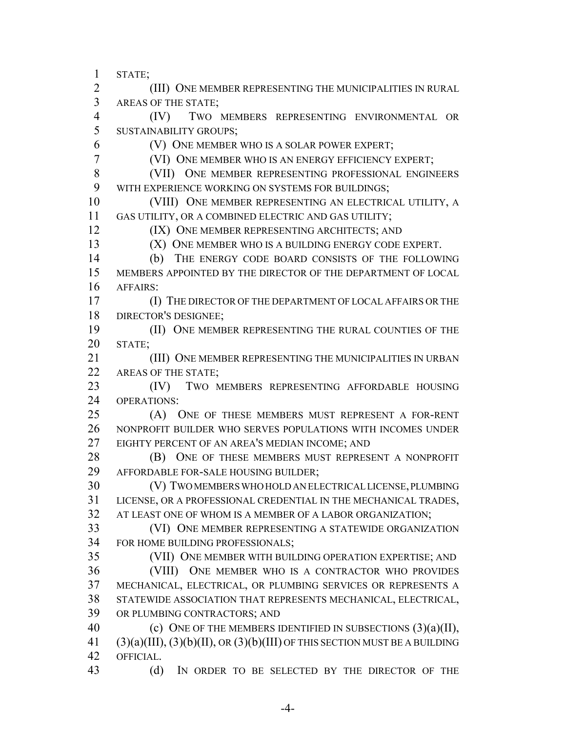STATE; (III) ONE MEMBER REPRESENTING THE MUNICIPALITIES IN RURAL AREAS OF THE STATE; (IV) TWO MEMBERS REPRESENTING ENVIRONMENTAL OR SUSTAINABILITY GROUPS; (V) ONE MEMBER WHO IS A SOLAR POWER EXPERT; (VI) ONE MEMBER WHO IS AN ENERGY EFFICIENCY EXPERT; (VII) ONE MEMBER REPRESENTING PROFESSIONAL ENGINEERS WITH EXPERIENCE WORKING ON SYSTEMS FOR BUILDINGS; (VIII) ONE MEMBER REPRESENTING AN ELECTRICAL UTILITY, A GAS UTILITY, OR A COMBINED ELECTRIC AND GAS UTILITY; **(IX) ONE MEMBER REPRESENTING ARCHITECTS; AND** 13 (X) ONE MEMBER WHO IS A BUILDING ENERGY CODE EXPERT. (b) THE ENERGY CODE BOARD CONSISTS OF THE FOLLOWING MEMBERS APPOINTED BY THE DIRECTOR OF THE DEPARTMENT OF LOCAL AFFAIRS: (I) THE DIRECTOR OF THE DEPARTMENT OF LOCAL AFFAIRS OR THE DIRECTOR'S DESIGNEE; (II) ONE MEMBER REPRESENTING THE RURAL COUNTIES OF THE STATE; (III) ONE MEMBER REPRESENTING THE MUNICIPALITIES IN URBAN 22 AREAS OF THE STATE; (IV) TWO MEMBERS REPRESENTING AFFORDABLE HOUSING OPERATIONS: (A) ONE OF THESE MEMBERS MUST REPRESENT A FOR-RENT NONPROFIT BUILDER WHO SERVES POPULATIONS WITH INCOMES UNDER EIGHTY PERCENT OF AN AREA'S MEDIAN INCOME; AND 28 (B) ONE OF THESE MEMBERS MUST REPRESENT A NONPROFIT AFFORDABLE FOR-SALE HOUSING BUILDER; (V) TWO MEMBERS WHO HOLD AN ELECTRICAL LICENSE, PLUMBING LICENSE, OR A PROFESSIONAL CREDENTIAL IN THE MECHANICAL TRADES, AT LEAST ONE OF WHOM IS A MEMBER OF A LABOR ORGANIZATION; (VI) ONE MEMBER REPRESENTING A STATEWIDE ORGANIZATION FOR HOME BUILDING PROFESSIONALS; (VII) ONE MEMBER WITH BUILDING OPERATION EXPERTISE; AND (VIII) ONE MEMBER WHO IS A CONTRACTOR WHO PROVIDES MECHANICAL, ELECTRICAL, OR PLUMBING SERVICES OR REPRESENTS A STATEWIDE ASSOCIATION THAT REPRESENTS MECHANICAL, ELECTRICAL, OR PLUMBING CONTRACTORS; AND 40 (c) ONE OF THE MEMBERS IDENTIFIED IN SUBSECTIONS  $(3)(a)(II)$ , (3)(a)(III), (3)(b)(II), OR (3)(b)(III) OF THIS SECTION MUST BE A BUILDING OFFICIAL. (d) IN ORDER TO BE SELECTED BY THE DIRECTOR OF THE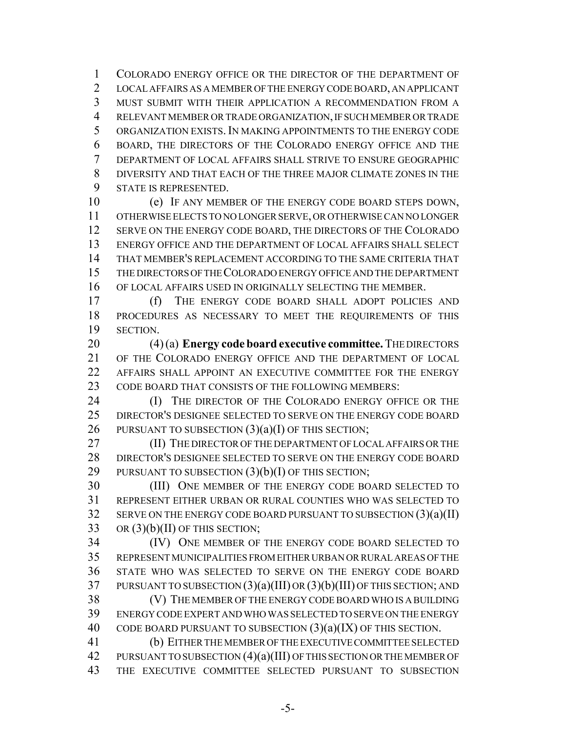COLORADO ENERGY OFFICE OR THE DIRECTOR OF THE DEPARTMENT OF LOCAL AFFAIRS AS A MEMBER OF THE ENERGY CODE BOARD, AN APPLICANT MUST SUBMIT WITH THEIR APPLICATION A RECOMMENDATION FROM A RELEVANT MEMBER OR TRADE ORGANIZATION, IF SUCH MEMBER OR TRADE ORGANIZATION EXISTS. IN MAKING APPOINTMENTS TO THE ENERGY CODE BOARD, THE DIRECTORS OF THE COLORADO ENERGY OFFICE AND THE DEPARTMENT OF LOCAL AFFAIRS SHALL STRIVE TO ENSURE GEOGRAPHIC DIVERSITY AND THAT EACH OF THE THREE MAJOR CLIMATE ZONES IN THE STATE IS REPRESENTED.

 (e) IF ANY MEMBER OF THE ENERGY CODE BOARD STEPS DOWN, OTHERWISE ELECTS TO NO LONGER SERVE, OR OTHERWISE CAN NO LONGER 12 SERVE ON THE ENERGY CODE BOARD, THE DIRECTORS OF THE COLORADO ENERGY OFFICE AND THE DEPARTMENT OF LOCAL AFFAIRS SHALL SELECT THAT MEMBER'S REPLACEMENT ACCORDING TO THE SAME CRITERIA THAT THE DIRECTORS OF THE COLORADO ENERGY OFFICE AND THE DEPARTMENT OF LOCAL AFFAIRS USED IN ORIGINALLY SELECTING THE MEMBER.

 (f) THE ENERGY CODE BOARD SHALL ADOPT POLICIES AND PROCEDURES AS NECESSARY TO MEET THE REQUIREMENTS OF THIS SECTION.

 (4) (a) **Energy code board executive committee.** THE DIRECTORS OF THE COLORADO ENERGY OFFICE AND THE DEPARTMENT OF LOCAL AFFAIRS SHALL APPOINT AN EXECUTIVE COMMITTEE FOR THE ENERGY CODE BOARD THAT CONSISTS OF THE FOLLOWING MEMBERS:

**(I)** THE DIRECTOR OF THE COLORADO ENERGY OFFICE OR THE DIRECTOR'S DESIGNEE SELECTED TO SERVE ON THE ENERGY CODE BOARD 26 PURSUANT TO SUBSECTION  $(3)(a)(I)$  OF THIS SECTION;

 (II) THE DIRECTOR OF THE DEPARTMENT OF LOCAL AFFAIRS OR THE DIRECTOR'S DESIGNEE SELECTED TO SERVE ON THE ENERGY CODE BOARD 29 PURSUANT TO SUBSECTION  $(3)(b)(I)$  OF THIS SECTION;

 (III) ONE MEMBER OF THE ENERGY CODE BOARD SELECTED TO REPRESENT EITHER URBAN OR RURAL COUNTIES WHO WAS SELECTED TO SERVE ON THE ENERGY CODE BOARD PURSUANT TO SUBSECTION (3)(a)(II) OR  $(3)(b)(II)$  OF THIS SECTION;

 (IV) ONE MEMBER OF THE ENERGY CODE BOARD SELECTED TO REPRESENT MUNICIPALITIES FROM EITHER URBAN OR RURAL AREAS OF THE STATE WHO WAS SELECTED TO SERVE ON THE ENERGY CODE BOARD PURSUANT TO SUBSECTION (3)(a)(III) OR (3)(b)(III) OF THIS SECTION; AND

 (V) THE MEMBER OF THE ENERGY CODE BOARD WHO IS A BUILDING ENERGY CODE EXPERT AND WHO WAS SELECTED TO SERVE ON THE ENERGY 40 CODE BOARD PURSUANT TO SUBSECTION  $(3)(a)(IX)$  OF THIS SECTION.

 (b) EITHER THE MEMBER OF THE EXECUTIVE COMMITTEE SELECTED 42 PURSUANT TO SUBSECTION  $(4)(a)(III)$  OF THIS SECTION OR THE MEMBER OF THE EXECUTIVE COMMITTEE SELECTED PURSUANT TO SUBSECTION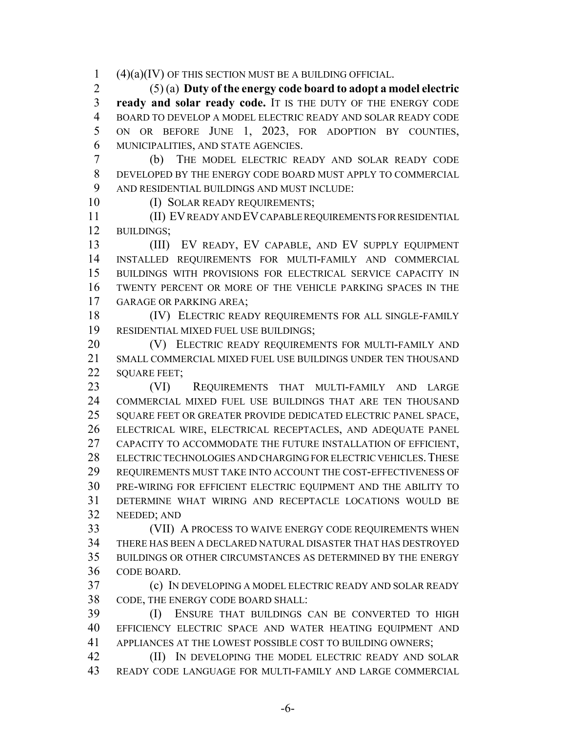(4)(a)(IV) OF THIS SECTION MUST BE A BUILDING OFFICIAL.

 (5) (a) **Duty of the energy code board to adopt a model electric ready and solar ready code.** IT IS THE DUTY OF THE ENERGY CODE BOARD TO DEVELOP A MODEL ELECTRIC READY AND SOLAR READY CODE ON OR BEFORE JUNE 1, 2023, FOR ADOPTION BY COUNTIES, MUNICIPALITIES, AND STATE AGENCIES.

 (b) THE MODEL ELECTRIC READY AND SOLAR READY CODE DEVELOPED BY THE ENERGY CODE BOARD MUST APPLY TO COMMERCIAL AND RESIDENTIAL BUILDINGS AND MUST INCLUDE:

10 (I) SOLAR READY REQUIREMENTS;

 (II) EV READY AND EV CAPABLE REQUIREMENTS FOR RESIDENTIAL BUILDINGS;

 (III) EV READY, EV CAPABLE, AND EV SUPPLY EQUIPMENT INSTALLED REQUIREMENTS FOR MULTI-FAMILY AND COMMERCIAL BUILDINGS WITH PROVISIONS FOR ELECTRICAL SERVICE CAPACITY IN TWENTY PERCENT OR MORE OF THE VEHICLE PARKING SPACES IN THE GARAGE OR PARKING AREA;

 (IV) ELECTRIC READY REQUIREMENTS FOR ALL SINGLE-FAMILY RESIDENTIAL MIXED FUEL USE BUILDINGS;

20 (V) ELECTRIC READY REQUIREMENTS FOR MULTI-FAMILY AND SMALL COMMERCIAL MIXED FUEL USE BUILDINGS UNDER TEN THOUSAND 22 SOUARE FEET:

 (VI) REQUIREMENTS THAT MULTI-FAMILY AND LARGE COMMERCIAL MIXED FUEL USE BUILDINGS THAT ARE TEN THOUSAND SQUARE FEET OR GREATER PROVIDE DEDICATED ELECTRIC PANEL SPACE, ELECTRICAL WIRE, ELECTRICAL RECEPTACLES, AND ADEQUATE PANEL CAPACITY TO ACCOMMODATE THE FUTURE INSTALLATION OF EFFICIENT, 28 ELECTRIC TECHNOLOGIES AND CHARGING FOR ELECTRIC VEHICLES. THESE REQUIREMENTS MUST TAKE INTO ACCOUNT THE COST-EFFECTIVENESS OF PRE-WIRING FOR EFFICIENT ELECTRIC EQUIPMENT AND THE ABILITY TO DETERMINE WHAT WIRING AND RECEPTACLE LOCATIONS WOULD BE NEEDED; AND

 (VII) A PROCESS TO WAIVE ENERGY CODE REQUIREMENTS WHEN THERE HAS BEEN A DECLARED NATURAL DISASTER THAT HAS DESTROYED BUILDINGS OR OTHER CIRCUMSTANCES AS DETERMINED BY THE ENERGY CODE BOARD.

 (c) IN DEVELOPING A MODEL ELECTRIC READY AND SOLAR READY CODE, THE ENERGY CODE BOARD SHALL:

 (I) ENSURE THAT BUILDINGS CAN BE CONVERTED TO HIGH EFFICIENCY ELECTRIC SPACE AND WATER HEATING EQUIPMENT AND APPLIANCES AT THE LOWEST POSSIBLE COST TO BUILDING OWNERS;

**(II)** IN DEVELOPING THE MODEL ELECTRIC READY AND SOLAR READY CODE LANGUAGE FOR MULTI-FAMILY AND LARGE COMMERCIAL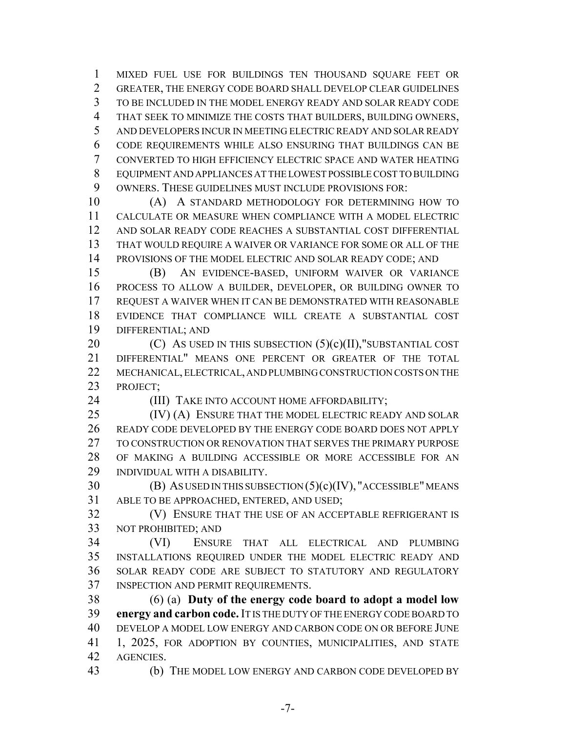MIXED FUEL USE FOR BUILDINGS TEN THOUSAND SQUARE FEET OR GREATER, THE ENERGY CODE BOARD SHALL DEVELOP CLEAR GUIDELINES TO BE INCLUDED IN THE MODEL ENERGY READY AND SOLAR READY CODE THAT SEEK TO MINIMIZE THE COSTS THAT BUILDERS, BUILDING OWNERS, AND DEVELOPERS INCUR IN MEETING ELECTRIC READY AND SOLAR READY CODE REQUIREMENTS WHILE ALSO ENSURING THAT BUILDINGS CAN BE CONVERTED TO HIGH EFFICIENCY ELECTRIC SPACE AND WATER HEATING EQUIPMENT AND APPLIANCES AT THE LOWEST POSSIBLE COST TO BUILDING OWNERS. THESE GUIDELINES MUST INCLUDE PROVISIONS FOR:

 (A) A STANDARD METHODOLOGY FOR DETERMINING HOW TO CALCULATE OR MEASURE WHEN COMPLIANCE WITH A MODEL ELECTRIC AND SOLAR READY CODE REACHES A SUBSTANTIAL COST DIFFERENTIAL THAT WOULD REQUIRE A WAIVER OR VARIANCE FOR SOME OR ALL OF THE 14 PROVISIONS OF THE MODEL ELECTRIC AND SOLAR READY CODE; AND

 (B) AN EVIDENCE-BASED, UNIFORM WAIVER OR VARIANCE PROCESS TO ALLOW A BUILDER, DEVELOPER, OR BUILDING OWNER TO REQUEST A WAIVER WHEN IT CAN BE DEMONSTRATED WITH REASONABLE EVIDENCE THAT COMPLIANCE WILL CREATE A SUBSTANTIAL COST DIFFERENTIAL; AND

 $(C)$  As used in this subsection  $(5)(c)(II)$ , substantial cost DIFFERENTIAL" MEANS ONE PERCENT OR GREATER OF THE TOTAL MECHANICAL, ELECTRICAL, AND PLUMBING CONSTRUCTION COSTS ON THE PROJECT;

**(III)** TAKE INTO ACCOUNT HOME AFFORDABILITY;

25 (IV) (A) ENSURE THAT THE MODEL ELECTRIC READY AND SOLAR READY CODE DEVELOPED BY THE ENERGY CODE BOARD DOES NOT APPLY TO CONSTRUCTION OR RENOVATION THAT SERVES THE PRIMARY PURPOSE OF MAKING A BUILDING ACCESSIBLE OR MORE ACCESSIBLE FOR AN INDIVIDUAL WITH A DISABILITY.

 (B) AS USED IN THIS SUBSECTION (5)(c)(IV), "ACCESSIBLE" MEANS ABLE TO BE APPROACHED, ENTERED, AND USED;

 (V) ENSURE THAT THE USE OF AN ACCEPTABLE REFRIGERANT IS NOT PROHIBITED; AND

 (VI) ENSURE THAT ALL ELECTRICAL AND PLUMBING INSTALLATIONS REQUIRED UNDER THE MODEL ELECTRIC READY AND SOLAR READY CODE ARE SUBJECT TO STATUTORY AND REGULATORY INSPECTION AND PERMIT REQUIREMENTS.

 (6) (a) **Duty of the energy code board to adopt a model low energy and carbon code.** IT IS THE DUTY OF THE ENERGY CODE BOARD TO DEVELOP A MODEL LOW ENERGY AND CARBON CODE ON OR BEFORE JUNE 1, 2025, FOR ADOPTION BY COUNTIES, MUNICIPALITIES, AND STATE AGENCIES.

(b) THE MODEL LOW ENERGY AND CARBON CODE DEVELOPED BY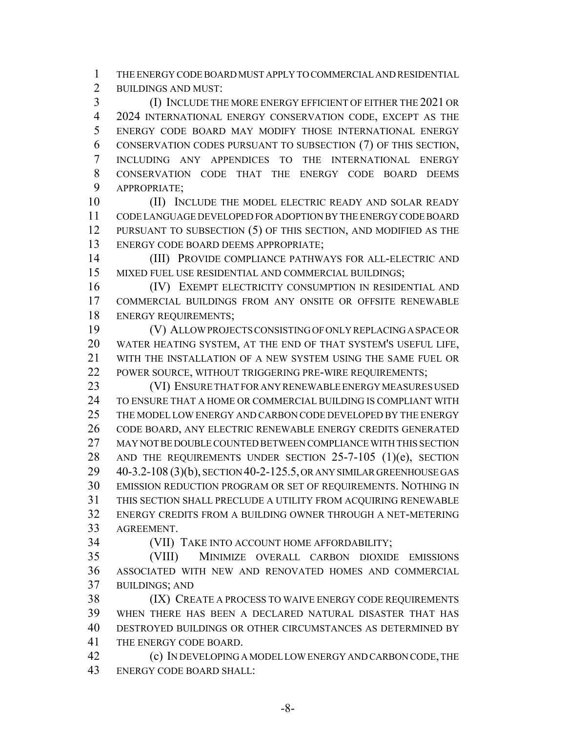THE ENERGY CODE BOARD MUST APPLY TO COMMERCIAL AND RESIDENTIAL BUILDINGS AND MUST:

 (I) INCLUDE THE MORE ENERGY EFFICIENT OF EITHER THE 2021 OR 2024 INTERNATIONAL ENERGY CONSERVATION CODE, EXCEPT AS THE ENERGY CODE BOARD MAY MODIFY THOSE INTERNATIONAL ENERGY CONSERVATION CODES PURSUANT TO SUBSECTION (7) OF THIS SECTION, INCLUDING ANY APPENDICES TO THE INTERNATIONAL ENERGY CONSERVATION CODE THAT THE ENERGY CODE BOARD DEEMS APPROPRIATE;

10 (II) INCLUDE THE MODEL ELECTRIC READY AND SOLAR READY CODE LANGUAGE DEVELOPED FOR ADOPTION BY THE ENERGY CODE BOARD PURSUANT TO SUBSECTION (5) OF THIS SECTION, AND MODIFIED AS THE ENERGY CODE BOARD DEEMS APPROPRIATE;

 (III) PROVIDE COMPLIANCE PATHWAYS FOR ALL-ELECTRIC AND MIXED FUEL USE RESIDENTIAL AND COMMERCIAL BUILDINGS;

 (IV) EXEMPT ELECTRICITY CONSUMPTION IN RESIDENTIAL AND COMMERCIAL BUILDINGS FROM ANY ONSITE OR OFFSITE RENEWABLE ENERGY REQUIREMENTS;

 (V) ALLOW PROJECTS CONSISTING OF ONLY REPLACING A SPACE OR WATER HEATING SYSTEM, AT THE END OF THAT SYSTEM'S USEFUL LIFE, WITH THE INSTALLATION OF A NEW SYSTEM USING THE SAME FUEL OR 22 POWER SOURCE, WITHOUT TRIGGERING PRE-WIRE REQUIREMENTS;

 (VI) ENSURE THAT FOR ANY RENEWABLE ENERGY MEASURES USED TO ENSURE THAT A HOME OR COMMERCIAL BUILDING IS COMPLIANT WITH THE MODEL LOW ENERGY AND CARBON CODE DEVELOPED BY THE ENERGY CODE BOARD, ANY ELECTRIC RENEWABLE ENERGY CREDITS GENERATED MAY NOT BE DOUBLE COUNTED BETWEEN COMPLIANCE WITH THIS SECTION 28 AND THE REQUIREMENTS UNDER SECTION 25-7-105 (1)(e), SECTION 40-3.2-108 (3)(b), SECTION 40-2-125.5, OR ANY SIMILAR GREENHOUSE GAS EMISSION REDUCTION PROGRAM OR SET OF REQUIREMENTS. NOTHING IN THIS SECTION SHALL PRECLUDE A UTILITY FROM ACQUIRING RENEWABLE ENERGY CREDITS FROM A BUILDING OWNER THROUGH A NET-METERING AGREEMENT.

(VII) TAKE INTO ACCOUNT HOME AFFORDABILITY;

 (VIII) MINIMIZE OVERALL CARBON DIOXIDE EMISSIONS ASSOCIATED WITH NEW AND RENOVATED HOMES AND COMMERCIAL BUILDINGS; AND

 (IX) CREATE A PROCESS TO WAIVE ENERGY CODE REQUIREMENTS WHEN THERE HAS BEEN A DECLARED NATURAL DISASTER THAT HAS DESTROYED BUILDINGS OR OTHER CIRCUMSTANCES AS DETERMINED BY THE ENERGY CODE BOARD.

 (c) IN DEVELOPING A MODEL LOW ENERGY AND CARBON CODE, THE ENERGY CODE BOARD SHALL: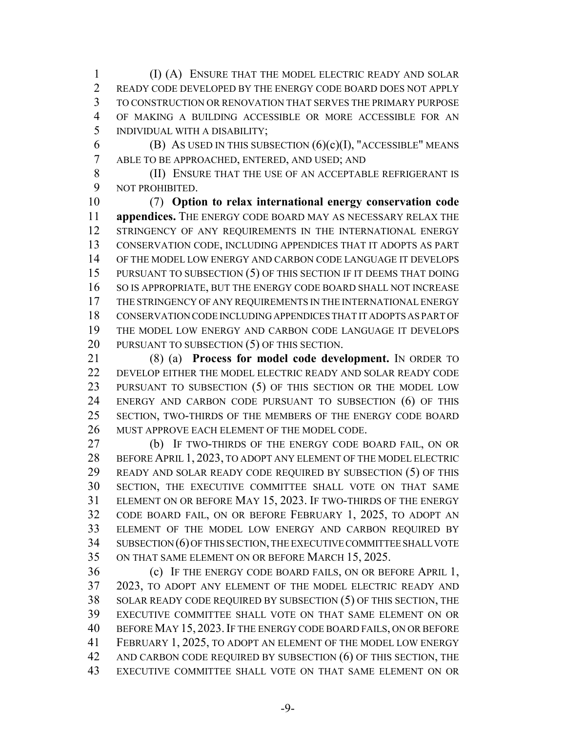(I) (A) ENSURE THAT THE MODEL ELECTRIC READY AND SOLAR READY CODE DEVELOPED BY THE ENERGY CODE BOARD DOES NOT APPLY TO CONSTRUCTION OR RENOVATION THAT SERVES THE PRIMARY PURPOSE OF MAKING A BUILDING ACCESSIBLE OR MORE ACCESSIBLE FOR AN INDIVIDUAL WITH A DISABILITY;

6 (B) AS USED IN THIS SUBSECTION  $(6)(c)(I)$ , "ACCESSIBLE" MEANS ABLE TO BE APPROACHED, ENTERED, AND USED; AND

 (II) ENSURE THAT THE USE OF AN ACCEPTABLE REFRIGERANT IS NOT PROHIBITED.

 (7) **Option to relax international energy conservation code appendices.** THE ENERGY CODE BOARD MAY AS NECESSARY RELAX THE 12 STRINGENCY OF ANY REQUIREMENTS IN THE INTERNATIONAL ENERGY CONSERVATION CODE, INCLUDING APPENDICES THAT IT ADOPTS AS PART OF THE MODEL LOW ENERGY AND CARBON CODE LANGUAGE IT DEVELOPS 15 PURSUANT TO SUBSECTION (5) OF THIS SECTION IF IT DEEMS THAT DOING 16 SO IS APPROPRIATE, BUT THE ENERGY CODE BOARD SHALL NOT INCREASE THE STRINGENCY OF ANY REQUIREMENTS IN THE INTERNATIONAL ENERGY CONSERVATION CODE INCLUDING APPENDICES THAT IT ADOPTS AS PART OF THE MODEL LOW ENERGY AND CARBON CODE LANGUAGE IT DEVELOPS 20 PURSUANT TO SUBSECTION (5) OF THIS SECTION.

 (8) (a) **Process for model code development.** IN ORDER TO 22 DEVELOP EITHER THE MODEL ELECTRIC READY AND SOLAR READY CODE 23 PURSUANT TO SUBSECTION (5) OF THIS SECTION OR THE MODEL LOW ENERGY AND CARBON CODE PURSUANT TO SUBSECTION (6) OF THIS SECTION, TWO-THIRDS OF THE MEMBERS OF THE ENERGY CODE BOARD MUST APPROVE EACH ELEMENT OF THE MODEL CODE.

 (b) IF TWO-THIRDS OF THE ENERGY CODE BOARD FAIL, ON OR BEFORE APRIL 1, 2023, TO ADOPT ANY ELEMENT OF THE MODEL ELECTRIC READY AND SOLAR READY CODE REQUIRED BY SUBSECTION (5) OF THIS SECTION, THE EXECUTIVE COMMITTEE SHALL VOTE ON THAT SAME ELEMENT ON OR BEFORE MAY 15, 2023. IF TWO-THIRDS OF THE ENERGY CODE BOARD FAIL, ON OR BEFORE FEBRUARY 1, 2025, TO ADOPT AN ELEMENT OF THE MODEL LOW ENERGY AND CARBON REQUIRED BY SUBSECTION (6) OF THIS SECTION, THE EXECUTIVE COMMITTEE SHALL VOTE ON THAT SAME ELEMENT ON OR BEFORE MARCH 15, 2025.

 (c) IF THE ENERGY CODE BOARD FAILS, ON OR BEFORE APRIL 1, 2023, TO ADOPT ANY ELEMENT OF THE MODEL ELECTRIC READY AND SOLAR READY CODE REQUIRED BY SUBSECTION (5) OF THIS SECTION, THE EXECUTIVE COMMITTEE SHALL VOTE ON THAT SAME ELEMENT ON OR BEFORE MAY 15, 2023.IF THE ENERGY CODE BOARD FAILS, ON OR BEFORE FEBRUARY 1, 2025, TO ADOPT AN ELEMENT OF THE MODEL LOW ENERGY AND CARBON CODE REQUIRED BY SUBSECTION (6) OF THIS SECTION, THE EXECUTIVE COMMITTEE SHALL VOTE ON THAT SAME ELEMENT ON OR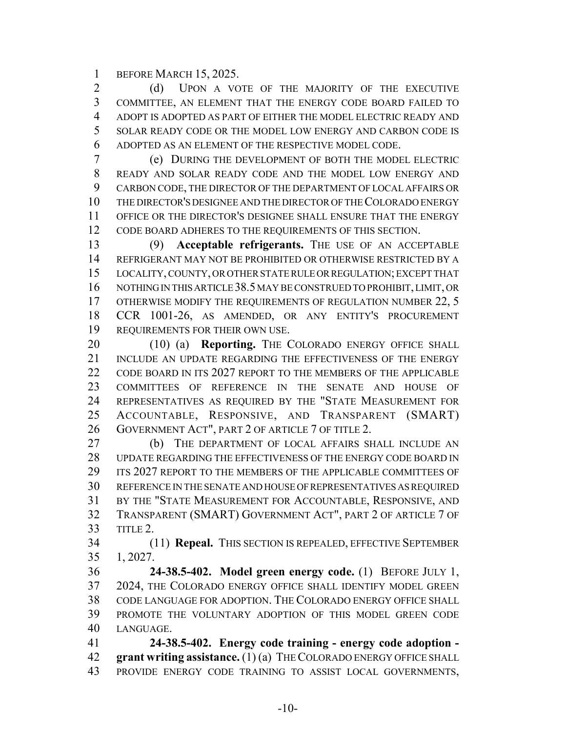BEFORE MARCH 15, 2025.

2 (d) UPON A VOTE OF THE MAJORITY OF THE EXECUTIVE COMMITTEE, AN ELEMENT THAT THE ENERGY CODE BOARD FAILED TO ADOPT IS ADOPTED AS PART OF EITHER THE MODEL ELECTRIC READY AND SOLAR READY CODE OR THE MODEL LOW ENERGY AND CARBON CODE IS ADOPTED AS AN ELEMENT OF THE RESPECTIVE MODEL CODE.

 (e) DURING THE DEVELOPMENT OF BOTH THE MODEL ELECTRIC READY AND SOLAR READY CODE AND THE MODEL LOW ENERGY AND CARBON CODE, THE DIRECTOR OF THE DEPARTMENT OF LOCAL AFFAIRS OR THE DIRECTOR'S DESIGNEE AND THE DIRECTOR OF THE COLORADO ENERGY OFFICE OR THE DIRECTOR'S DESIGNEE SHALL ENSURE THAT THE ENERGY CODE BOARD ADHERES TO THE REQUIREMENTS OF THIS SECTION.

 (9) **Acceptable refrigerants.** THE USE OF AN ACCEPTABLE REFRIGERANT MAY NOT BE PROHIBITED OR OTHERWISE RESTRICTED BY A LOCALITY, COUNTY, OR OTHER STATE RULE OR REGULATION; EXCEPT THAT NOTHING IN THIS ARTICLE 38.5 MAY BE CONSTRUED TO PROHIBIT, LIMIT, OR 17 OTHERWISE MODIFY THE REQUIREMENTS OF REGULATION NUMBER 22, 5 CCR 1001-26, AS AMENDED, OR ANY ENTITY'S PROCUREMENT REQUIREMENTS FOR THEIR OWN USE.

20 (10) (a) **Reporting.** THE COLORADO ENERGY OFFICE SHALL 21 INCLUDE AN UPDATE REGARDING THE EFFECTIVENESS OF THE ENERGY CODE BOARD IN ITS 2027 REPORT TO THE MEMBERS OF THE APPLICABLE COMMITTEES OF REFERENCE IN THE SENATE AND HOUSE OF REPRESENTATIVES AS REQUIRED BY THE "STATE MEASUREMENT FOR ACCOUNTABLE, RESPONSIVE, AND TRANSPARENT (SMART) 26 GOVERNMENT ACT", PART 2 OF ARTICLE 7 OF TITLE 2.

 (b) THE DEPARTMENT OF LOCAL AFFAIRS SHALL INCLUDE AN UPDATE REGARDING THE EFFECTIVENESS OF THE ENERGY CODE BOARD IN ITS 2027 REPORT TO THE MEMBERS OF THE APPLICABLE COMMITTEES OF REFERENCE IN THE SENATE AND HOUSE OF REPRESENTATIVES AS REQUIRED BY THE "STATE MEASUREMENT FOR ACCOUNTABLE, RESPONSIVE, AND TRANSPARENT (SMART) GOVERNMENT ACT", PART 2 OF ARTICLE 7 OF TITLE 2.

 (11) **Repeal.** THIS SECTION IS REPEALED, EFFECTIVE SEPTEMBER 1, 2027.

 **24-38.5-402. Model green energy code.** (1) BEFORE JULY 1, 2024, THE COLORADO ENERGY OFFICE SHALL IDENTIFY MODEL GREEN CODE LANGUAGE FOR ADOPTION. THE COLORADO ENERGY OFFICE SHALL PROMOTE THE VOLUNTARY ADOPTION OF THIS MODEL GREEN CODE LANGUAGE.

 **24-38.5-402. Energy code training - energy code adoption - grant writing assistance.** (1) (a) THE COLORADO ENERGY OFFICE SHALL PROVIDE ENERGY CODE TRAINING TO ASSIST LOCAL GOVERNMENTS,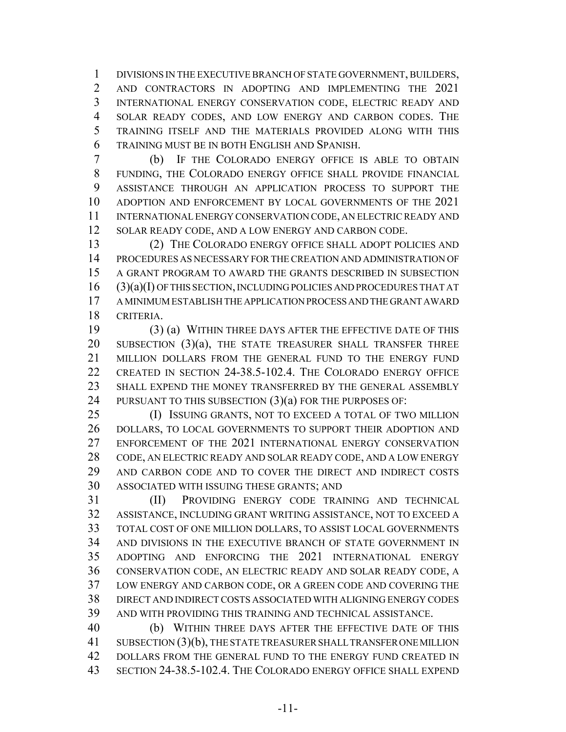DIVISIONS IN THE EXECUTIVE BRANCH OF STATE GOVERNMENT, BUILDERS, AND CONTRACTORS IN ADOPTING AND IMPLEMENTING THE 2021 INTERNATIONAL ENERGY CONSERVATION CODE, ELECTRIC READY AND SOLAR READY CODES, AND LOW ENERGY AND CARBON CODES. THE TRAINING ITSELF AND THE MATERIALS PROVIDED ALONG WITH THIS TRAINING MUST BE IN BOTH ENGLISH AND SPANISH.

 (b) IF THE COLORADO ENERGY OFFICE IS ABLE TO OBTAIN FUNDING, THE COLORADO ENERGY OFFICE SHALL PROVIDE FINANCIAL ASSISTANCE THROUGH AN APPLICATION PROCESS TO SUPPORT THE ADOPTION AND ENFORCEMENT BY LOCAL GOVERNMENTS OF THE 2021 INTERNATIONAL ENERGY CONSERVATION CODE, AN ELECTRIC READY AND 12 SOLAR READY CODE, AND A LOW ENERGY AND CARBON CODE.

 (2) THE COLORADO ENERGY OFFICE SHALL ADOPT POLICIES AND PROCEDURES AS NECESSARY FOR THE CREATION AND ADMINISTRATION OF A GRANT PROGRAM TO AWARD THE GRANTS DESCRIBED IN SUBSECTION (3)(a)(I) OF THIS SECTION, INCLUDING POLICIES AND PROCEDURES THAT AT A MINIMUM ESTABLISH THE APPLICATION PROCESS AND THE GRANT AWARD CRITERIA.

 (3) (a) WITHIN THREE DAYS AFTER THE EFFECTIVE DATE OF THIS 20 SUBSECTION (3)(a), THE STATE TREASURER SHALL TRANSFER THREE MILLION DOLLARS FROM THE GENERAL FUND TO THE ENERGY FUND CREATED IN SECTION 24-38.5-102.4. THE COLORADO ENERGY OFFICE SHALL EXPEND THE MONEY TRANSFERRED BY THE GENERAL ASSEMBLY 24 PURSUANT TO THIS SUBSECTION (3)(a) FOR THE PURPOSES OF:

 (I) ISSUING GRANTS, NOT TO EXCEED A TOTAL OF TWO MILLION DOLLARS, TO LOCAL GOVERNMENTS TO SUPPORT THEIR ADOPTION AND ENFORCEMENT OF THE 2021 INTERNATIONAL ENERGY CONSERVATION 28 CODE, AN ELECTRIC READY AND SOLAR READY CODE, AND A LOW ENERGY AND CARBON CODE AND TO COVER THE DIRECT AND INDIRECT COSTS ASSOCIATED WITH ISSUING THESE GRANTS; AND

 (II) PROVIDING ENERGY CODE TRAINING AND TECHNICAL ASSISTANCE, INCLUDING GRANT WRITING ASSISTANCE, NOT TO EXCEED A TOTAL COST OF ONE MILLION DOLLARS, TO ASSIST LOCAL GOVERNMENTS AND DIVISIONS IN THE EXECUTIVE BRANCH OF STATE GOVERNMENT IN ADOPTING AND ENFORCING THE 2021 INTERNATIONAL ENERGY CONSERVATION CODE, AN ELECTRIC READY AND SOLAR READY CODE, A LOW ENERGY AND CARBON CODE, OR A GREEN CODE AND COVERING THE DIRECT AND INDIRECT COSTS ASSOCIATED WITH ALIGNING ENERGY CODES AND WITH PROVIDING THIS TRAINING AND TECHNICAL ASSISTANCE.

 (b) WITHIN THREE DAYS AFTER THE EFFECTIVE DATE OF THIS SUBSECTION (3)(b), THE STATE TREASURER SHALL TRANSFER ONE MILLION 42 DOLLARS FROM THE GENERAL FUND TO THE ENERGY FUND CREATED IN SECTION 24-38.5-102.4. THE COLORADO ENERGY OFFICE SHALL EXPEND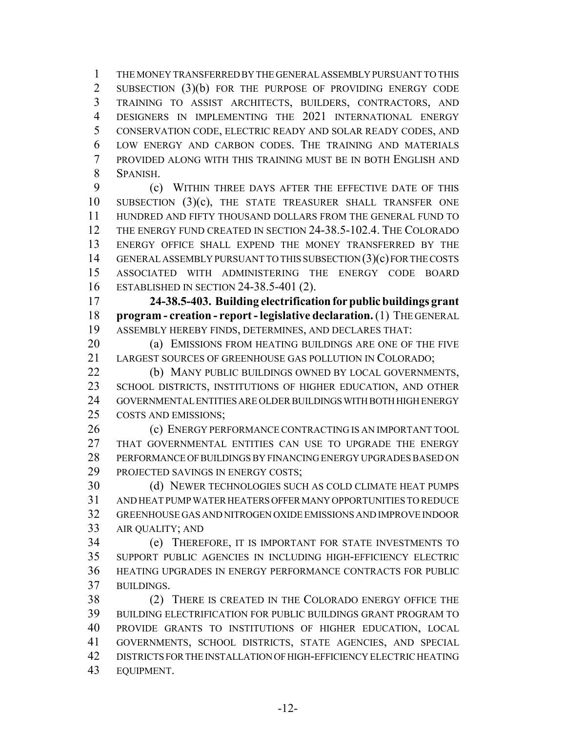THE MONEY TRANSFERRED BY THE GENERAL ASSEMBLY PURSUANT TO THIS 2 SUBSECTION (3)(b) FOR THE PURPOSE OF PROVIDING ENERGY CODE TRAINING TO ASSIST ARCHITECTS, BUILDERS, CONTRACTORS, AND DESIGNERS IN IMPLEMENTING THE 2021 INTERNATIONAL ENERGY CONSERVATION CODE, ELECTRIC READY AND SOLAR READY CODES, AND LOW ENERGY AND CARBON CODES. THE TRAINING AND MATERIALS PROVIDED ALONG WITH THIS TRAINING MUST BE IN BOTH ENGLISH AND SPANISH.

 (c) WITHIN THREE DAYS AFTER THE EFFECTIVE DATE OF THIS SUBSECTION (3)(c), THE STATE TREASURER SHALL TRANSFER ONE HUNDRED AND FIFTY THOUSAND DOLLARS FROM THE GENERAL FUND TO THE ENERGY FUND CREATED IN SECTION 24-38.5-102.4. THE COLORADO ENERGY OFFICE SHALL EXPEND THE MONEY TRANSFERRED BY THE GENERAL ASSEMBLY PURSUANT TO THIS SUBSECTION (3)(c) FOR THE COSTS ASSOCIATED WITH ADMINISTERING THE ENERGY CODE BOARD ESTABLISHED IN SECTION 24-38.5-401 (2).

 **24-38.5-403. Building electrification for public buildings grant program - creation - report - legislative declaration.** (1) THE GENERAL ASSEMBLY HEREBY FINDS, DETERMINES, AND DECLARES THAT:

**(a) EMISSIONS FROM HEATING BUILDINGS ARE ONE OF THE FIVE** LARGEST SOURCES OF GREENHOUSE GAS POLLUTION IN COLORADO;

22 (b) MANY PUBLIC BUILDINGS OWNED BY LOCAL GOVERNMENTS, SCHOOL DISTRICTS, INSTITUTIONS OF HIGHER EDUCATION, AND OTHER GOVERNMENTAL ENTITIES ARE OLDER BUILDINGS WITH BOTH HIGH ENERGY COSTS AND EMISSIONS;

 (c) ENERGY PERFORMANCE CONTRACTING IS AN IMPORTANT TOOL THAT GOVERNMENTAL ENTITIES CAN USE TO UPGRADE THE ENERGY PERFORMANCE OF BUILDINGS BY FINANCING ENERGY UPGRADES BASED ON PROJECTED SAVINGS IN ENERGY COSTS;

 (d) NEWER TECHNOLOGIES SUCH AS COLD CLIMATE HEAT PUMPS AND HEAT PUMP WATER HEATERS OFFER MANY OPPORTUNITIES TO REDUCE GREENHOUSE GAS AND NITROGEN OXIDE EMISSIONS AND IMPROVE INDOOR AIR QUALITY; AND

 (e) THEREFORE, IT IS IMPORTANT FOR STATE INVESTMENTS TO SUPPORT PUBLIC AGENCIES IN INCLUDING HIGH-EFFICIENCY ELECTRIC HEATING UPGRADES IN ENERGY PERFORMANCE CONTRACTS FOR PUBLIC BUILDINGS.

 (2) THERE IS CREATED IN THE COLORADO ENERGY OFFICE THE BUILDING ELECTRIFICATION FOR PUBLIC BUILDINGS GRANT PROGRAM TO PROVIDE GRANTS TO INSTITUTIONS OF HIGHER EDUCATION, LOCAL GOVERNMENTS, SCHOOL DISTRICTS, STATE AGENCIES, AND SPECIAL DISTRICTS FOR THE INSTALLATION OF HIGH-EFFICIENCY ELECTRIC HEATING EQUIPMENT.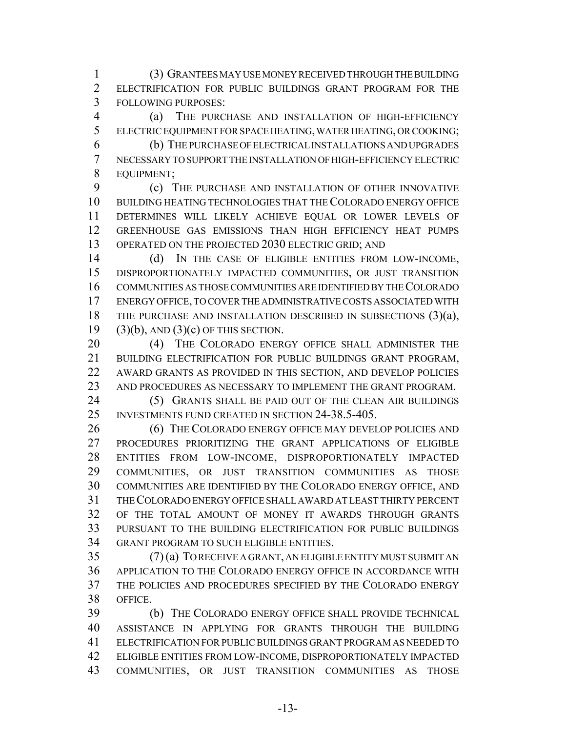(3) GRANTEES MAY USE MONEY RECEIVED THROUGH THE BUILDING ELECTRIFICATION FOR PUBLIC BUILDINGS GRANT PROGRAM FOR THE FOLLOWING PURPOSES:

 (a) THE PURCHASE AND INSTALLATION OF HIGH-EFFICIENCY ELECTRIC EQUIPMENT FOR SPACE HEATING, WATER HEATING, OR COOKING;

 (b) THE PURCHASE OF ELECTRICAL INSTALLATIONS AND UPGRADES NECESSARY TO SUPPORT THE INSTALLATION OF HIGH-EFFICIENCY ELECTRIC EQUIPMENT;

 (c) THE PURCHASE AND INSTALLATION OF OTHER INNOVATIVE BUILDING HEATING TECHNOLOGIES THAT THE COLORADO ENERGY OFFICE DETERMINES WILL LIKELY ACHIEVE EQUAL OR LOWER LEVELS OF GREENHOUSE GAS EMISSIONS THAN HIGH EFFICIENCY HEAT PUMPS 13 OPERATED ON THE PROJECTED 2030 ELECTRIC GRID; AND

14 (d) IN THE CASE OF ELIGIBLE ENTITIES FROM LOW-INCOME, DISPROPORTIONATELY IMPACTED COMMUNITIES, OR JUST TRANSITION COMMUNITIES AS THOSE COMMUNITIES ARE IDENTIFIED BY THE COLORADO ENERGY OFFICE, TO COVER THE ADMINISTRATIVE COSTS ASSOCIATED WITH 18 THE PURCHASE AND INSTALLATION DESCRIBED IN SUBSECTIONS (3)(a),  $(3)(b)$ , AND  $(3)(c)$  OF THIS SECTION.

20 (4) THE COLORADO ENERGY OFFICE SHALL ADMINISTER THE BUILDING ELECTRIFICATION FOR PUBLIC BUILDINGS GRANT PROGRAM, AWARD GRANTS AS PROVIDED IN THIS SECTION, AND DEVELOP POLICIES AND PROCEDURES AS NECESSARY TO IMPLEMENT THE GRANT PROGRAM.

 (5) GRANTS SHALL BE PAID OUT OF THE CLEAN AIR BUILDINGS INVESTMENTS FUND CREATED IN SECTION 24-38.5-405.

 (6) THE COLORADO ENERGY OFFICE MAY DEVELOP POLICIES AND PROCEDURES PRIORITIZING THE GRANT APPLICATIONS OF ELIGIBLE ENTITIES FROM LOW-INCOME, DISPROPORTIONATELY IMPACTED COMMUNITIES, OR JUST TRANSITION COMMUNITIES AS THOSE COMMUNITIES ARE IDENTIFIED BY THE COLORADO ENERGY OFFICE, AND THE COLORADO ENERGY OFFICE SHALL AWARD AT LEAST THIRTY PERCENT OF THE TOTAL AMOUNT OF MONEY IT AWARDS THROUGH GRANTS PURSUANT TO THE BUILDING ELECTRIFICATION FOR PUBLIC BUILDINGS GRANT PROGRAM TO SUCH ELIGIBLE ENTITIES.

 (7) (a) TO RECEIVE A GRANT, AN ELIGIBLE ENTITY MUST SUBMIT AN APPLICATION TO THE COLORADO ENERGY OFFICE IN ACCORDANCE WITH THE POLICIES AND PROCEDURES SPECIFIED BY THE COLORADO ENERGY OFFICE.

 (b) THE COLORADO ENERGY OFFICE SHALL PROVIDE TECHNICAL ASSISTANCE IN APPLYING FOR GRANTS THROUGH THE BUILDING ELECTRIFICATION FOR PUBLIC BUILDINGS GRANT PROGRAM AS NEEDED TO ELIGIBLE ENTITIES FROM LOW-INCOME, DISPROPORTIONATELY IMPACTED COMMUNITIES, OR JUST TRANSITION COMMUNITIES AS THOSE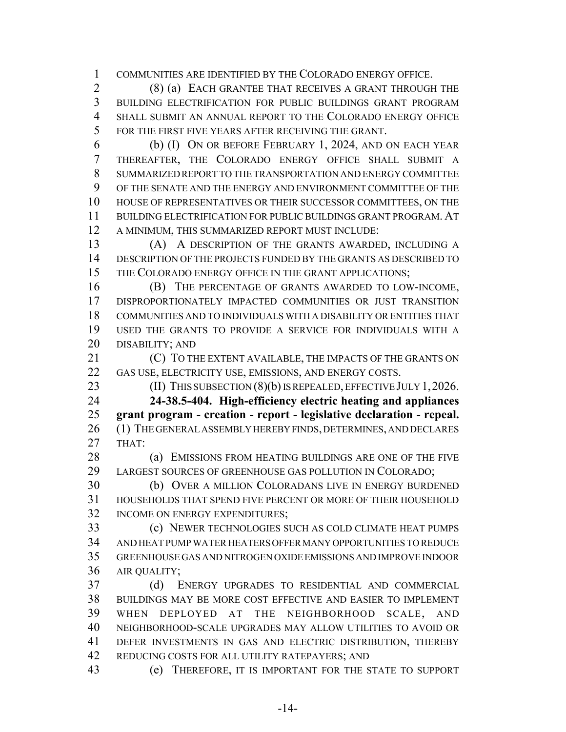COMMUNITIES ARE IDENTIFIED BY THE COLORADO ENERGY OFFICE.

 (8) (a) EACH GRANTEE THAT RECEIVES A GRANT THROUGH THE BUILDING ELECTRIFICATION FOR PUBLIC BUILDINGS GRANT PROGRAM SHALL SUBMIT AN ANNUAL REPORT TO THE COLORADO ENERGY OFFICE FOR THE FIRST FIVE YEARS AFTER RECEIVING THE GRANT.

 (b) (I) ON OR BEFORE FEBRUARY 1, 2024, AND ON EACH YEAR THEREAFTER, THE COLORADO ENERGY OFFICE SHALL SUBMIT A SUMMARIZED REPORT TO THE TRANSPORTATION AND ENERGY COMMITTEE OF THE SENATE AND THE ENERGY AND ENVIRONMENT COMMITTEE OF THE HOUSE OF REPRESENTATIVES OR THEIR SUCCESSOR COMMITTEES, ON THE BUILDING ELECTRIFICATION FOR PUBLIC BUILDINGS GRANT PROGRAM. AT A MINIMUM, THIS SUMMARIZED REPORT MUST INCLUDE:

 (A) A DESCRIPTION OF THE GRANTS AWARDED, INCLUDING A DESCRIPTION OF THE PROJECTS FUNDED BY THE GRANTS AS DESCRIBED TO THE COLORADO ENERGY OFFICE IN THE GRANT APPLICATIONS;

 (B) THE PERCENTAGE OF GRANTS AWARDED TO LOW-INCOME, DISPROPORTIONATELY IMPACTED COMMUNITIES OR JUST TRANSITION COMMUNITIES AND TO INDIVIDUALS WITH A DISABILITY OR ENTITIES THAT USED THE GRANTS TO PROVIDE A SERVICE FOR INDIVIDUALS WITH A DISABILITY; AND

 (C) TO THE EXTENT AVAILABLE, THE IMPACTS OF THE GRANTS ON GAS USE, ELECTRICITY USE, EMISSIONS, AND ENERGY COSTS.

**(II) THIS SUBSECTION (8)(b) IS REPEALED, EFFECTIVE JULY 1, 2026.** 

 **24-38.5-404. High-efficiency electric heating and appliances grant program - creation - report - legislative declaration - repeal.** (1) THE GENERAL ASSEMBLY HEREBY FINDS, DETERMINES, AND DECLARES THAT:

28 (a) EMISSIONS FROM HEATING BUILDINGS ARE ONE OF THE FIVE LARGEST SOURCES OF GREENHOUSE GAS POLLUTION IN COLORADO;

 (b) OVER A MILLION COLORADANS LIVE IN ENERGY BURDENED HOUSEHOLDS THAT SPEND FIVE PERCENT OR MORE OF THEIR HOUSEHOLD INCOME ON ENERGY EXPENDITURES;

 (c) NEWER TECHNOLOGIES SUCH AS COLD CLIMATE HEAT PUMPS AND HEAT PUMP WATER HEATERS OFFER MANY OPPORTUNITIES TO REDUCE GREENHOUSE GAS AND NITROGEN OXIDE EMISSIONS AND IMPROVE INDOOR AIR QUALITY;

 (d) ENERGY UPGRADES TO RESIDENTIAL AND COMMERCIAL BUILDINGS MAY BE MORE COST EFFECTIVE AND EASIER TO IMPLEMENT WHEN DEPLOYED AT THE NEIGHBORHOOD SCALE, AND NEIGHBORHOOD-SCALE UPGRADES MAY ALLOW UTILITIES TO AVOID OR 41 DEFER INVESTMENTS IN GAS AND ELECTRIC DISTRIBUTION, THEREBY REDUCING COSTS FOR ALL UTILITY RATEPAYERS; AND

(e) THEREFORE, IT IS IMPORTANT FOR THE STATE TO SUPPORT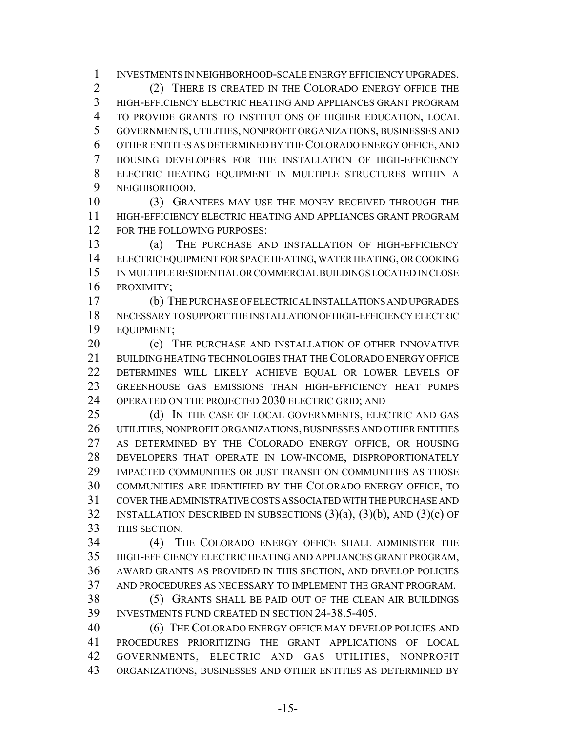INVESTMENTS IN NEIGHBORHOOD-SCALE ENERGY EFFICIENCY UPGRADES. (2) THERE IS CREATED IN THE COLORADO ENERGY OFFICE THE HIGH-EFFICIENCY ELECTRIC HEATING AND APPLIANCES GRANT PROGRAM TO PROVIDE GRANTS TO INSTITUTIONS OF HIGHER EDUCATION, LOCAL GOVERNMENTS, UTILITIES, NONPROFIT ORGANIZATIONS, BUSINESSES AND OTHER ENTITIES AS DETERMINED BY THE COLORADO ENERGY OFFICE, AND HOUSING DEVELOPERS FOR THE INSTALLATION OF HIGH-EFFICIENCY ELECTRIC HEATING EQUIPMENT IN MULTIPLE STRUCTURES WITHIN A NEIGHBORHOOD.

 (3) GRANTEES MAY USE THE MONEY RECEIVED THROUGH THE HIGH-EFFICIENCY ELECTRIC HEATING AND APPLIANCES GRANT PROGRAM FOR THE FOLLOWING PURPOSES:

 (a) THE PURCHASE AND INSTALLATION OF HIGH-EFFICIENCY ELECTRIC EQUIPMENT FOR SPACE HEATING, WATER HEATING, OR COOKING IN MULTIPLE RESIDENTIAL OR COMMERCIAL BUILDINGS LOCATED IN CLOSE PROXIMITY;

 (b) THE PURCHASE OF ELECTRICAL INSTALLATIONS AND UPGRADES NECESSARY TO SUPPORT THE INSTALLATION OF HIGH-EFFICIENCY ELECTRIC EQUIPMENT;

**(c)** THE PURCHASE AND INSTALLATION OF OTHER INNOVATIVE BUILDING HEATING TECHNOLOGIES THAT THE COLORADO ENERGY OFFICE DETERMINES WILL LIKELY ACHIEVE EQUAL OR LOWER LEVELS OF GREENHOUSE GAS EMISSIONS THAN HIGH-EFFICIENCY HEAT PUMPS 24 OPERATED ON THE PROJECTED 2030 ELECTRIC GRID; AND

25 (d) IN THE CASE OF LOCAL GOVERNMENTS, ELECTRIC AND GAS UTILITIES, NONPROFIT ORGANIZATIONS, BUSINESSES AND OTHER ENTITIES AS DETERMINED BY THE COLORADO ENERGY OFFICE, OR HOUSING DEVELOPERS THAT OPERATE IN LOW-INCOME, DISPROPORTIONATELY IMPACTED COMMUNITIES OR JUST TRANSITION COMMUNITIES AS THOSE COMMUNITIES ARE IDENTIFIED BY THE COLORADO ENERGY OFFICE, TO COVER THE ADMINISTRATIVE COSTS ASSOCIATED WITH THE PURCHASE AND 32 INSTALLATION DESCRIBED IN SUBSECTIONS  $(3)(a)$ ,  $(3)(b)$ , AND  $(3)(c)$  OF THIS SECTION.

 (4) THE COLORADO ENERGY OFFICE SHALL ADMINISTER THE HIGH-EFFICIENCY ELECTRIC HEATING AND APPLIANCES GRANT PROGRAM, AWARD GRANTS AS PROVIDED IN THIS SECTION, AND DEVELOP POLICIES AND PROCEDURES AS NECESSARY TO IMPLEMENT THE GRANT PROGRAM.

 (5) GRANTS SHALL BE PAID OUT OF THE CLEAN AIR BUILDINGS INVESTMENTS FUND CREATED IN SECTION 24-38.5-405.

 (6) THE COLORADO ENERGY OFFICE MAY DEVELOP POLICIES AND PROCEDURES PRIORITIZING THE GRANT APPLICATIONS OF LOCAL GOVERNMENTS, ELECTRIC AND GAS UTILITIES, NONPROFIT ORGANIZATIONS, BUSINESSES AND OTHER ENTITIES AS DETERMINED BY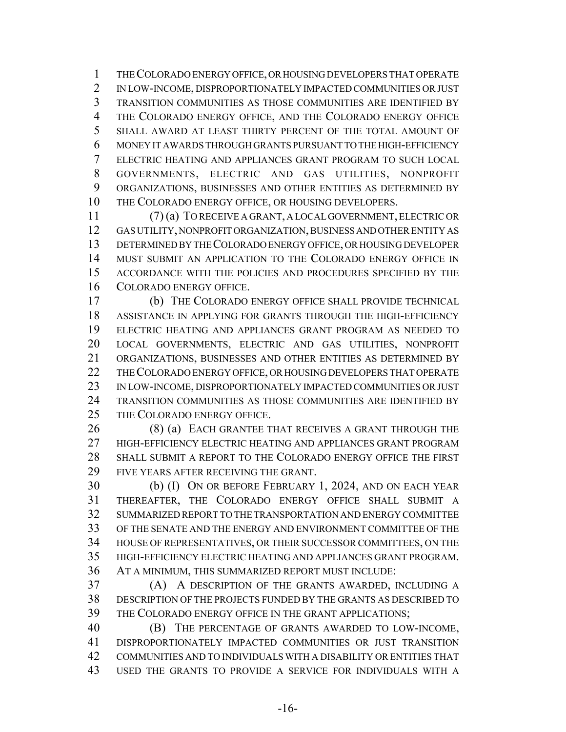THE COLORADO ENERGY OFFICE, OR HOUSING DEVELOPERS THAT OPERATE IN LOW-INCOME, DISPROPORTIONATELY IMPACTED COMMUNITIES OR JUST TRANSITION COMMUNITIES AS THOSE COMMUNITIES ARE IDENTIFIED BY THE COLORADO ENERGY OFFICE, AND THE COLORADO ENERGY OFFICE SHALL AWARD AT LEAST THIRTY PERCENT OF THE TOTAL AMOUNT OF MONEY IT AWARDS THROUGH GRANTS PURSUANT TO THE HIGH-EFFICIENCY ELECTRIC HEATING AND APPLIANCES GRANT PROGRAM TO SUCH LOCAL GOVERNMENTS, ELECTRIC AND GAS UTILITIES, NONPROFIT ORGANIZATIONS, BUSINESSES AND OTHER ENTITIES AS DETERMINED BY THE COLORADO ENERGY OFFICE, OR HOUSING DEVELOPERS.

 (7) (a) TO RECEIVE A GRANT, A LOCAL GOVERNMENT, ELECTRIC OR GAS UTILITY, NONPROFIT ORGANIZATION, BUSINESS AND OTHER ENTITY AS DETERMINED BY THE COLORADO ENERGY OFFICE, OR HOUSING DEVELOPER MUST SUBMIT AN APPLICATION TO THE COLORADO ENERGY OFFICE IN ACCORDANCE WITH THE POLICIES AND PROCEDURES SPECIFIED BY THE COLORADO ENERGY OFFICE.

 (b) THE COLORADO ENERGY OFFICE SHALL PROVIDE TECHNICAL ASSISTANCE IN APPLYING FOR GRANTS THROUGH THE HIGH-EFFICIENCY ELECTRIC HEATING AND APPLIANCES GRANT PROGRAM AS NEEDED TO LOCAL GOVERNMENTS, ELECTRIC AND GAS UTILITIES, NONPROFIT ORGANIZATIONS, BUSINESSES AND OTHER ENTITIES AS DETERMINED BY THE COLORADO ENERGY OFFICE, OR HOUSING DEVELOPERS THAT OPERATE IN LOW-INCOME, DISPROPORTIONATELY IMPACTED COMMUNITIES OR JUST TRANSITION COMMUNITIES AS THOSE COMMUNITIES ARE IDENTIFIED BY THE COLORADO ENERGY OFFICE.

26 (8) (a) EACH GRANTEE THAT RECEIVES A GRANT THROUGH THE HIGH-EFFICIENCY ELECTRIC HEATING AND APPLIANCES GRANT PROGRAM SHALL SUBMIT A REPORT TO THE COLORADO ENERGY OFFICE THE FIRST FIVE YEARS AFTER RECEIVING THE GRANT.

 (b) (I) ON OR BEFORE FEBRUARY 1, 2024, AND ON EACH YEAR THEREAFTER, THE COLORADO ENERGY OFFICE SHALL SUBMIT A SUMMARIZED REPORT TO THE TRANSPORTATION AND ENERGY COMMITTEE OF THE SENATE AND THE ENERGY AND ENVIRONMENT COMMITTEE OF THE HOUSE OF REPRESENTATIVES, OR THEIR SUCCESSOR COMMITTEES, ON THE HIGH-EFFICIENCY ELECTRIC HEATING AND APPLIANCES GRANT PROGRAM. AT A MINIMUM, THIS SUMMARIZED REPORT MUST INCLUDE:

 (A) A DESCRIPTION OF THE GRANTS AWARDED, INCLUDING A DESCRIPTION OF THE PROJECTS FUNDED BY THE GRANTS AS DESCRIBED TO THE COLORADO ENERGY OFFICE IN THE GRANT APPLICATIONS;

 (B) THE PERCENTAGE OF GRANTS AWARDED TO LOW-INCOME, DISPROPORTIONATELY IMPACTED COMMUNITIES OR JUST TRANSITION COMMUNITIES AND TO INDIVIDUALS WITH A DISABILITY OR ENTITIES THAT USED THE GRANTS TO PROVIDE A SERVICE FOR INDIVIDUALS WITH A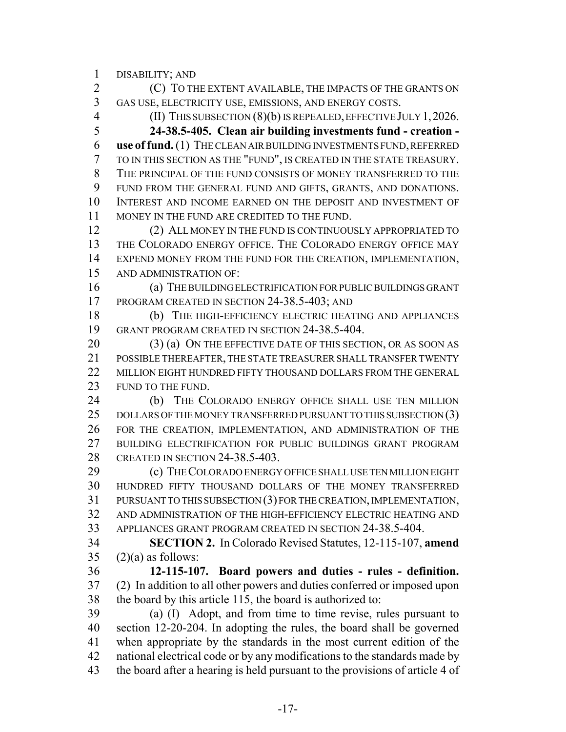DISABILITY; AND

 (C) TO THE EXTENT AVAILABLE, THE IMPACTS OF THE GRANTS ON GAS USE, ELECTRICITY USE, EMISSIONS, AND ENERGY COSTS. (II) THIS SUBSECTION (8)(b) IS REPEALED, EFFECTIVE JULY 1,2026. **24-38.5-405. Clean air building investments fund - creation - use of fund.** (1) THE CLEAN AIR BUILDING INVESTMENTS FUND, REFERRED TO IN THIS SECTION AS THE "FUND", IS CREATED IN THE STATE TREASURY. THE PRINCIPAL OF THE FUND CONSISTS OF MONEY TRANSFERRED TO THE FUND FROM THE GENERAL FUND AND GIFTS, GRANTS, AND DONATIONS. INTEREST AND INCOME EARNED ON THE DEPOSIT AND INVESTMENT OF MONEY IN THE FUND ARE CREDITED TO THE FUND. (2) ALL MONEY IN THE FUND IS CONTINUOUSLY APPROPRIATED TO THE COLORADO ENERGY OFFICE. THE COLORADO ENERGY OFFICE MAY EXPEND MONEY FROM THE FUND FOR THE CREATION, IMPLEMENTATION, AND ADMINISTRATION OF: (a) THE BUILDING ELECTRIFICATION FOR PUBLIC BUILDINGS GRANT 17 PROGRAM CREATED IN SECTION 24-38.5-403; AND (b) THE HIGH-EFFICIENCY ELECTRIC HEATING AND APPLIANCES GRANT PROGRAM CREATED IN SECTION 24-38.5-404. 20 (3) (a) ON THE EFFECTIVE DATE OF THIS SECTION, OR AS SOON AS POSSIBLE THEREAFTER, THE STATE TREASURER SHALL TRANSFER TWENTY MILLION EIGHT HUNDRED FIFTY THOUSAND DOLLARS FROM THE GENERAL 23 FUND TO THE FUND. 24 (b) THE COLORADO ENERGY OFFICE SHALL USE TEN MILLION 25 DOLLARS OF THE MONEY TRANSFERRED PURSUANT TO THIS SUBSECTION (3) FOR THE CREATION, IMPLEMENTATION, AND ADMINISTRATION OF THE BUILDING ELECTRIFICATION FOR PUBLIC BUILDINGS GRANT PROGRAM CREATED IN SECTION 24-38.5-403. (c) THE COLORADO ENERGY OFFICE SHALL USE TEN MILLION EIGHT HUNDRED FIFTY THOUSAND DOLLARS OF THE MONEY TRANSFERRED PURSUANT TO THIS SUBSECTION (3) FOR THE CREATION, IMPLEMENTATION, AND ADMINISTRATION OF THE HIGH-EFFICIENCY ELECTRIC HEATING AND APPLIANCES GRANT PROGRAM CREATED IN SECTION 24-38.5-404. **SECTION 2.** In Colorado Revised Statutes, 12-115-107, **amend** (2)(a) as follows: **12-115-107. Board powers and duties - rules - definition.** (2) In addition to all other powers and duties conferred or imposed upon the board by this article 115, the board is authorized to: (a) (I) Adopt, and from time to time revise, rules pursuant to section 12-20-204. In adopting the rules, the board shall be governed when appropriate by the standards in the most current edition of the

 national electrical code or by any modifications to the standards made by 43 the board after a hearing is held pursuant to the provisions of article 4 of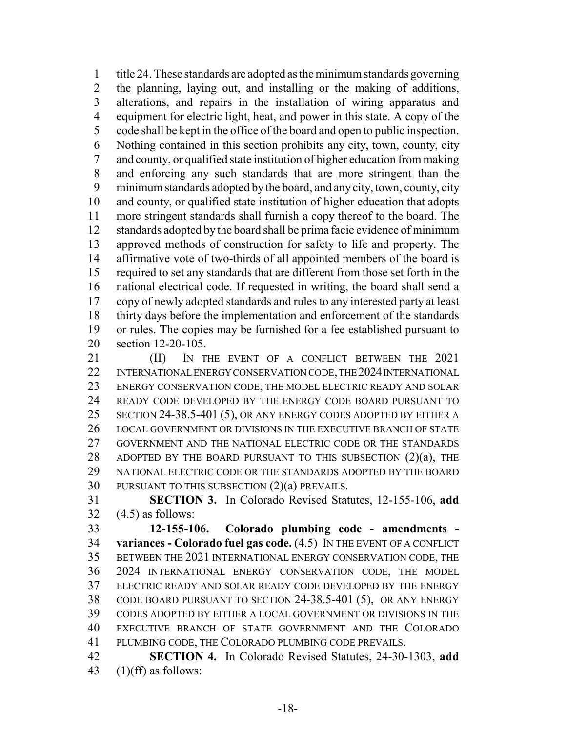title 24. These standards are adopted as the minimum standards governing the planning, laying out, and installing or the making of additions, alterations, and repairs in the installation of wiring apparatus and equipment for electric light, heat, and power in this state. A copy of the code shall be kept in the office of the board and open to public inspection. Nothing contained in this section prohibits any city, town, county, city and county, or qualified state institution of higher education from making and enforcing any such standards that are more stringent than the minimum standards adopted by the board, and any city, town, county, city and county, or qualified state institution of higher education that adopts more stringent standards shall furnish a copy thereof to the board. The standards adopted by the board shall be prima facie evidence of minimum approved methods of construction for safety to life and property. The affirmative vote of two-thirds of all appointed members of the board is required to set any standards that are different from those set forth in the national electrical code. If requested in writing, the board shall send a copy of newly adopted standards and rules to any interested party at least thirty days before the implementation and enforcement of the standards or rules. The copies may be furnished for a fee established pursuant to section 12-20-105.

**III)** IN THE EVENT OF A CONFLICT BETWEEN THE 2021 INTERNATIONAL ENERGY CONSERVATION CODE, THE 2024 INTERNATIONAL ENERGY CONSERVATION CODE, THE MODEL ELECTRIC READY AND SOLAR READY CODE DEVELOPED BY THE ENERGY CODE BOARD PURSUANT TO SECTION 24-38.5-401 (5), OR ANY ENERGY CODES ADOPTED BY EITHER A LOCAL GOVERNMENT OR DIVISIONS IN THE EXECUTIVE BRANCH OF STATE GOVERNMENT AND THE NATIONAL ELECTRIC CODE OR THE STANDARDS 28 ADOPTED BY THE BOARD PURSUANT TO THIS SUBSECTION  $(2)(a)$ , THE NATIONAL ELECTRIC CODE OR THE STANDARDS ADOPTED BY THE BOARD PURSUANT TO THIS SUBSECTION (2)(a) PREVAILS.

 **SECTION 3.** In Colorado Revised Statutes, 12-155-106, **add** (4.5) as follows:

 **12-155-106. Colorado plumbing code - amendments - variances - Colorado fuel gas code.** (4.5) IN THE EVENT OF A CONFLICT BETWEEN THE 2021 INTERNATIONAL ENERGY CONSERVATION CODE, THE 2024 INTERNATIONAL ENERGY CONSERVATION CODE, THE MODEL ELECTRIC READY AND SOLAR READY CODE DEVELOPED BY THE ENERGY CODE BOARD PURSUANT TO SECTION 24-38.5-401 (5), OR ANY ENERGY CODES ADOPTED BY EITHER A LOCAL GOVERNMENT OR DIVISIONS IN THE EXECUTIVE BRANCH OF STATE GOVERNMENT AND THE COLORADO PLUMBING CODE, THE COLORADO PLUMBING CODE PREVAILS.

 **SECTION 4.** In Colorado Revised Statutes, 24-30-1303, **add** 43  $(1)(ff)$  as follows: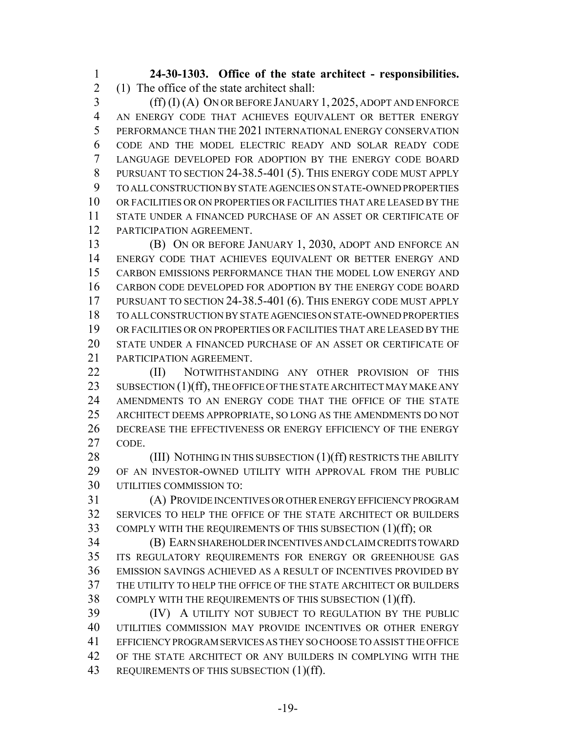**24-30-1303. Office of the state architect - responsibilities.** (1) The office of the state architect shall:

 (ff) (I) (A) ON OR BEFORE JANUARY 1, 2025, ADOPT AND ENFORCE AN ENERGY CODE THAT ACHIEVES EQUIVALENT OR BETTER ENERGY PERFORMANCE THAN THE 2021 INTERNATIONAL ENERGY CONSERVATION CODE AND THE MODEL ELECTRIC READY AND SOLAR READY CODE LANGUAGE DEVELOPED FOR ADOPTION BY THE ENERGY CODE BOARD PURSUANT TO SECTION 24-38.5-401 (5). THIS ENERGY CODE MUST APPLY TO ALL CONSTRUCTION BY STATE AGENCIES ON STATE-OWNED PROPERTIES OR FACILITIES OR ON PROPERTIES OR FACILITIES THAT ARE LEASED BY THE STATE UNDER A FINANCED PURCHASE OF AN ASSET OR CERTIFICATE OF PARTICIPATION AGREEMENT.

 (B) ON OR BEFORE JANUARY 1, 2030, ADOPT AND ENFORCE AN ENERGY CODE THAT ACHIEVES EQUIVALENT OR BETTER ENERGY AND CARBON EMISSIONS PERFORMANCE THAN THE MODEL LOW ENERGY AND CARBON CODE DEVELOPED FOR ADOPTION BY THE ENERGY CODE BOARD PURSUANT TO SECTION 24-38.5-401 (6). THIS ENERGY CODE MUST APPLY TO ALL CONSTRUCTION BY STATE AGENCIES ON STATE-OWNED PROPERTIES OR FACILITIES OR ON PROPERTIES OR FACILITIES THAT ARE LEASED BY THE STATE UNDER A FINANCED PURCHASE OF AN ASSET OR CERTIFICATE OF PARTICIPATION AGREEMENT.

**(II)** NOTWITHSTANDING ANY OTHER PROVISION OF THIS 23 SUBSECTION (1)(ff), THE OFFICE OF THE STATE ARCHITECT MAY MAKE ANY AMENDMENTS TO AN ENERGY CODE THAT THE OFFICE OF THE STATE ARCHITECT DEEMS APPROPRIATE, SO LONG AS THE AMENDMENTS DO NOT DECREASE THE EFFECTIVENESS OR ENERGY EFFICIENCY OF THE ENERGY CODE.

28 (III) NOTHING IN THIS SUBSECTION (1)(ff) RESTRICTS THE ABILITY OF AN INVESTOR-OWNED UTILITY WITH APPROVAL FROM THE PUBLIC UTILITIES COMMISSION TO:

 (A) PROVIDE INCENTIVES OR OTHER ENERGY EFFICIENCY PROGRAM SERVICES TO HELP THE OFFICE OF THE STATE ARCHITECT OR BUILDERS COMPLY WITH THE REQUIREMENTS OF THIS SUBSECTION (1)(ff); OR

 (B) EARN SHAREHOLDER INCENTIVES AND CLAIM CREDITS TOWARD ITS REGULATORY REQUIREMENTS FOR ENERGY OR GREENHOUSE GAS EMISSION SAVINGS ACHIEVED AS A RESULT OF INCENTIVES PROVIDED BY THE UTILITY TO HELP THE OFFICE OF THE STATE ARCHITECT OR BUILDERS COMPLY WITH THE REQUIREMENTS OF THIS SUBSECTION (1)(ff).

 (IV) A UTILITY NOT SUBJECT TO REGULATION BY THE PUBLIC UTILITIES COMMISSION MAY PROVIDE INCENTIVES OR OTHER ENERGY EFFICIENCY PROGRAM SERVICES AS THEY SO CHOOSE TO ASSIST THE OFFICE OF THE STATE ARCHITECT OR ANY BUILDERS IN COMPLYING WITH THE 43 REQUIREMENTS OF THIS SUBSECTION (1)(ff).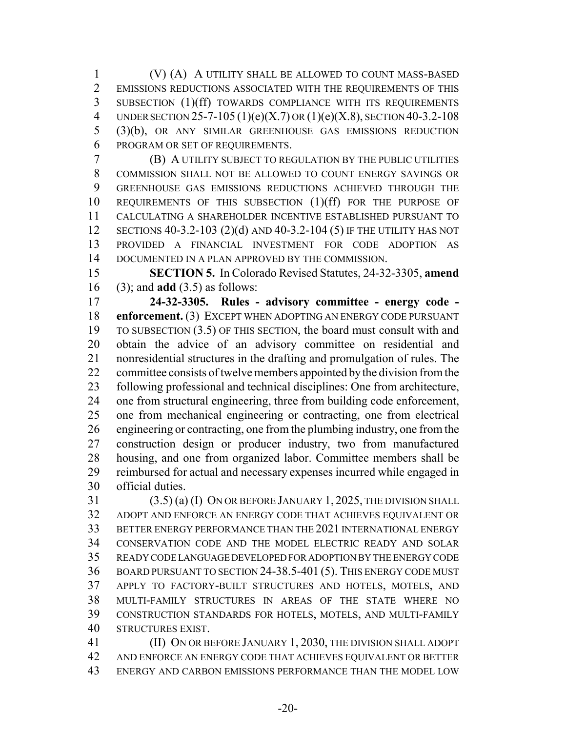(V) (A) A UTILITY SHALL BE ALLOWED TO COUNT MASS-BASED EMISSIONS REDUCTIONS ASSOCIATED WITH THE REQUIREMENTS OF THIS SUBSECTION (1)(ff) TOWARDS COMPLIANCE WITH ITS REQUIREMENTS 4 UNDER SECTION 25-7-105 (1)(e)(X.7) OR (1)(e)(X.8), SECTION 40-3.2-108 (3)(b), OR ANY SIMILAR GREENHOUSE GAS EMISSIONS REDUCTION PROGRAM OR SET OF REQUIREMENTS.

 (B) A UTILITY SUBJECT TO REGULATION BY THE PUBLIC UTILITIES COMMISSION SHALL NOT BE ALLOWED TO COUNT ENERGY SAVINGS OR GREENHOUSE GAS EMISSIONS REDUCTIONS ACHIEVED THROUGH THE REQUIREMENTS OF THIS SUBSECTION (1)(ff) FOR THE PURPOSE OF CALCULATING A SHAREHOLDER INCENTIVE ESTABLISHED PURSUANT TO SECTIONS 40-3.2-103 (2)(d) AND 40-3.2-104 (5) IF THE UTILITY HAS NOT PROVIDED A FINANCIAL INVESTMENT FOR CODE ADOPTION AS DOCUMENTED IN A PLAN APPROVED BY THE COMMISSION.

 **SECTION 5.** In Colorado Revised Statutes, 24-32-3305, **amend** (3); and **add** (3.5) as follows:

 **24-32-3305. Rules - advisory committee - energy code - enforcement.** (3) EXCEPT WHEN ADOPTING AN ENERGY CODE PURSUANT TO SUBSECTION (3.5) OF THIS SECTION, the board must consult with and obtain the advice of an advisory committee on residential and nonresidential structures in the drafting and promulgation of rules. The committee consists of twelve members appointed by the division from the following professional and technical disciplines: One from architecture, one from structural engineering, three from building code enforcement, one from mechanical engineering or contracting, one from electrical engineering or contracting, one from the plumbing industry, one from the construction design or producer industry, two from manufactured housing, and one from organized labor. Committee members shall be reimbursed for actual and necessary expenses incurred while engaged in official duties.

 (3.5) (a) (I) ON OR BEFORE JANUARY 1, 2025, THE DIVISION SHALL ADOPT AND ENFORCE AN ENERGY CODE THAT ACHIEVES EQUIVALENT OR BETTER ENERGY PERFORMANCE THAN THE 2021 INTERNATIONAL ENERGY CONSERVATION CODE AND THE MODEL ELECTRIC READY AND SOLAR READY CODE LANGUAGE DEVELOPED FOR ADOPTION BY THE ENERGY CODE BOARD PURSUANT TO SECTION 24-38.5-401 (5). THIS ENERGY CODE MUST APPLY TO FACTORY-BUILT STRUCTURES AND HOTELS, MOTELS, AND MULTI-FAMILY STRUCTURES IN AREAS OF THE STATE WHERE NO CONSTRUCTION STANDARDS FOR HOTELS, MOTELS, AND MULTI-FAMILY STRUCTURES EXIST.

**(II) ON OR BEFORE JANUARY 1, 2030, THE DIVISION SHALL ADOPT**  AND ENFORCE AN ENERGY CODE THAT ACHIEVES EQUIVALENT OR BETTER ENERGY AND CARBON EMISSIONS PERFORMANCE THAN THE MODEL LOW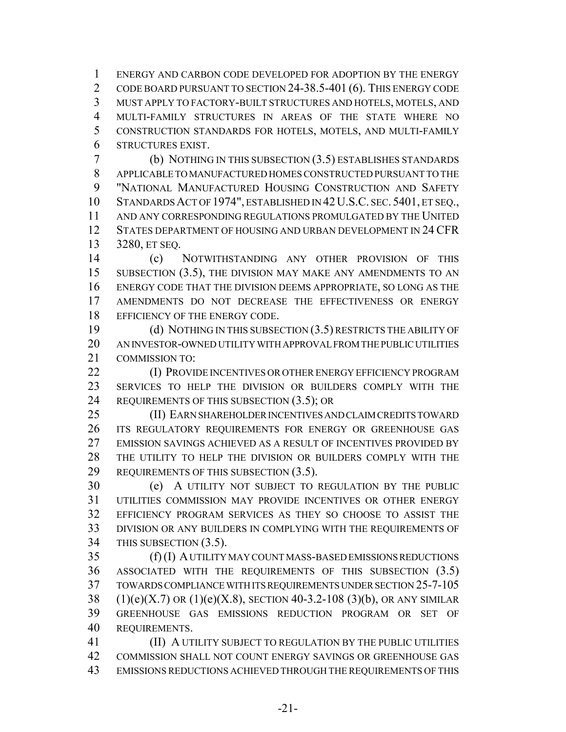ENERGY AND CARBON CODE DEVELOPED FOR ADOPTION BY THE ENERGY 2 CODE BOARD PURSUANT TO SECTION 24-38.5-401 (6). THIS ENERGY CODE MUST APPLY TO FACTORY-BUILT STRUCTURES AND HOTELS, MOTELS, AND MULTI-FAMILY STRUCTURES IN AREAS OF THE STATE WHERE NO CONSTRUCTION STANDARDS FOR HOTELS, MOTELS, AND MULTI-FAMILY STRUCTURES EXIST.

 (b) NOTHING IN THIS SUBSECTION (3.5) ESTABLISHES STANDARDS APPLICABLE TO MANUFACTURED HOMES CONSTRUCTED PURSUANT TO THE "NATIONAL MANUFACTURED HOUSING CONSTRUCTION AND SAFETY STANDARDS ACT OF 1974", ESTABLISHED IN 42U.S.C. SEC. 5401, ET SEQ., AND ANY CORRESPONDING REGULATIONS PROMULGATED BY THE UNITED STATES DEPARTMENT OF HOUSING AND URBAN DEVELOPMENT IN 24 CFR 3280, ET SEQ.

 (c) NOTWITHSTANDING ANY OTHER PROVISION OF THIS 15 SUBSECTION (3.5), THE DIVISION MAY MAKE ANY AMENDMENTS TO AN ENERGY CODE THAT THE DIVISION DEEMS APPROPRIATE, SO LONG AS THE AMENDMENTS DO NOT DECREASE THE EFFECTIVENESS OR ENERGY 18 EFFICIENCY OF THE ENERGY CODE.

 (d) NOTHING IN THIS SUBSECTION (3.5) RESTRICTS THE ABILITY OF AN INVESTOR-OWNED UTILITY WITH APPROVAL FROM THE PUBLIC UTILITIES COMMISSION TO:

**(I) PROVIDE INCENTIVES OR OTHER ENERGY EFFICIENCY PROGRAM**  SERVICES TO HELP THE DIVISION OR BUILDERS COMPLY WITH THE 24 REQUIREMENTS OF THIS SUBSECTION (3.5); OR

 (II) EARN SHAREHOLDER INCENTIVES AND CLAIM CREDITS TOWARD ITS REGULATORY REQUIREMENTS FOR ENERGY OR GREENHOUSE GAS EMISSION SAVINGS ACHIEVED AS A RESULT OF INCENTIVES PROVIDED BY THE UTILITY TO HELP THE DIVISION OR BUILDERS COMPLY WITH THE 29 REQUIREMENTS OF THIS SUBSECTION (3.5).

 (e) A UTILITY NOT SUBJECT TO REGULATION BY THE PUBLIC UTILITIES COMMISSION MAY PROVIDE INCENTIVES OR OTHER ENERGY EFFICIENCY PROGRAM SERVICES AS THEY SO CHOOSE TO ASSIST THE DIVISION OR ANY BUILDERS IN COMPLYING WITH THE REQUIREMENTS OF THIS SUBSECTION (3.5).

 (f) (I) A UTILITY MAY COUNT MASS-BASED EMISSIONS REDUCTIONS ASSOCIATED WITH THE REQUIREMENTS OF THIS SUBSECTION (3.5) TOWARDS COMPLIANCE WITH ITS REQUIREMENTS UNDER SECTION 25-7-105 38 (1)(e)(X.7) OR (1)(e)(X.8), SECTION 40-3.2-108 (3)(b), OR ANY SIMILAR GREENHOUSE GAS EMISSIONS REDUCTION PROGRAM OR SET OF REQUIREMENTS.

 (II) A UTILITY SUBJECT TO REGULATION BY THE PUBLIC UTILITIES COMMISSION SHALL NOT COUNT ENERGY SAVINGS OR GREENHOUSE GAS EMISSIONS REDUCTIONS ACHIEVED THROUGH THE REQUIREMENTS OF THIS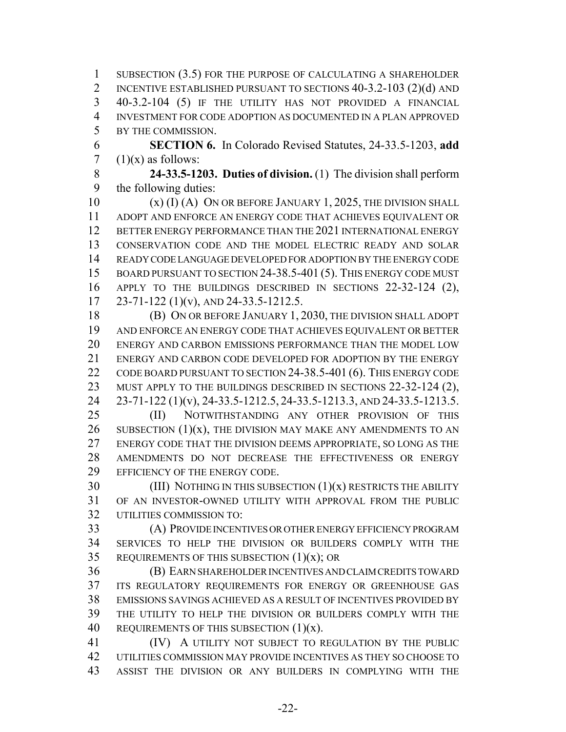SUBSECTION (3.5) FOR THE PURPOSE OF CALCULATING A SHAREHOLDER INCENTIVE ESTABLISHED PURSUANT TO SECTIONS 40-3.2-103 (2)(d) AND 40-3.2-104 (5) IF THE UTILITY HAS NOT PROVIDED A FINANCIAL INVESTMENT FOR CODE ADOPTION AS DOCUMENTED IN A PLAN APPROVED BY THE COMMISSION.

 **SECTION 6.** In Colorado Revised Statutes, 24-33.5-1203, **add** 7  $(1)(x)$  as follows:

 **24-33.5-1203. Duties of division.** (1) The division shall perform the following duties:

10 (x) (I) (A) ON OR BEFORE JANUARY 1, 2025, THE DIVISION SHALL ADOPT AND ENFORCE AN ENERGY CODE THAT ACHIEVES EQUIVALENT OR BETTER ENERGY PERFORMANCE THAN THE 2021 INTERNATIONAL ENERGY CONSERVATION CODE AND THE MODEL ELECTRIC READY AND SOLAR READY CODE LANGUAGE DEVELOPED FOR ADOPTION BY THE ENERGY CODE 15 BOARD PURSUANT TO SECTION 24-38.5-401 (5). THIS ENERGY CODE MUST APPLY TO THE BUILDINGS DESCRIBED IN SECTIONS 22-32-124 (2), 23-71-122 (1)(v), AND 24-33.5-1212.5.

 (B) ON OR BEFORE JANUARY 1, 2030, THE DIVISION SHALL ADOPT AND ENFORCE AN ENERGY CODE THAT ACHIEVES EQUIVALENT OR BETTER ENERGY AND CARBON EMISSIONS PERFORMANCE THAN THE MODEL LOW ENERGY AND CARBON CODE DEVELOPED FOR ADOPTION BY THE ENERGY 22 CODE BOARD PURSUANT TO SECTION 24-38.5-401 (6). THIS ENERGY CODE 23 MUST APPLY TO THE BUILDINGS DESCRIBED IN SECTIONS 22-32-124 (2), 23-71-122 (1)(v), 24-33.5-1212.5, 24-33.5-1213.3, AND 24-33.5-1213.5.

 (II) NOTWITHSTANDING ANY OTHER PROVISION OF THIS 26 SUBSECTION  $(1)(x)$ , THE DIVISION MAY MAKE ANY AMENDMENTS TO AN ENERGY CODE THAT THE DIVISION DEEMS APPROPRIATE, SO LONG AS THE AMENDMENTS DO NOT DECREASE THE EFFECTIVENESS OR ENERGY EFFICIENCY OF THE ENERGY CODE.

 (III) NOTHING IN THIS SUBSECTION (1)(x) RESTRICTS THE ABILITY OF AN INVESTOR-OWNED UTILITY WITH APPROVAL FROM THE PUBLIC UTILITIES COMMISSION TO:

 (A) PROVIDE INCENTIVES OR OTHER ENERGY EFFICIENCY PROGRAM SERVICES TO HELP THE DIVISION OR BUILDERS COMPLY WITH THE 35 REQUIREMENTS OF THIS SUBSECTION  $(1)(x)$ ; OR

 (B) EARN SHAREHOLDER INCENTIVES AND CLAIM CREDITS TOWARD ITS REGULATORY REQUIREMENTS FOR ENERGY OR GREENHOUSE GAS EMISSIONS SAVINGS ACHIEVED AS A RESULT OF INCENTIVES PROVIDED BY THE UTILITY TO HELP THE DIVISION OR BUILDERS COMPLY WITH THE 40 REQUIREMENTS OF THIS SUBSECTION  $(1)(x)$ .

 (IV) A UTILITY NOT SUBJECT TO REGULATION BY THE PUBLIC UTILITIES COMMISSION MAY PROVIDE INCENTIVES AS THEY SO CHOOSE TO ASSIST THE DIVISION OR ANY BUILDERS IN COMPLYING WITH THE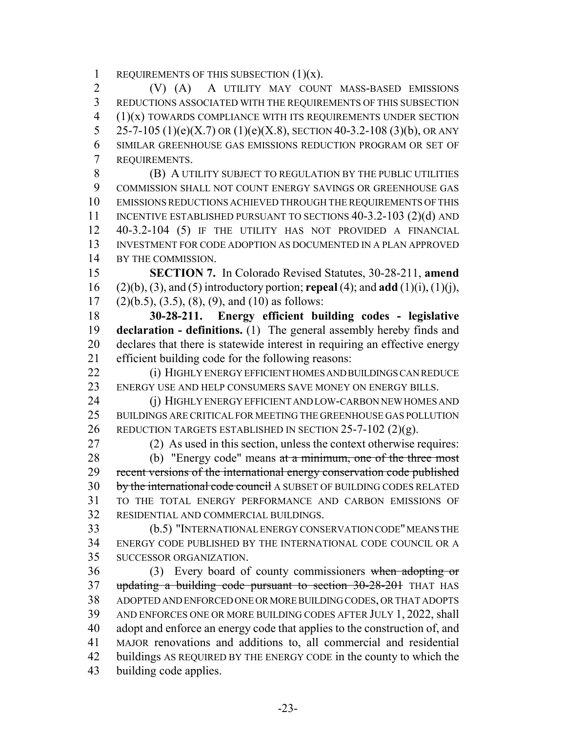1 REQUIREMENTS OF THIS SUBSECTION  $(1)(x)$ .

 (V) (A) A UTILITY MAY COUNT MASS-BASED EMISSIONS REDUCTIONS ASSOCIATED WITH THE REQUIREMENTS OF THIS SUBSECTION  $(1)(x)$  TOWARDS COMPLIANCE WITH ITS REQUIREMENTS UNDER SECTION 5 25-7-105 (1)(e)(X.7) OR (1)(e)(X.8), SECTION 40-3.2-108 (3)(b), OR ANY SIMILAR GREENHOUSE GAS EMISSIONS REDUCTION PROGRAM OR SET OF REQUIREMENTS.

**(B) A UTILITY SUBJECT TO REGULATION BY THE PUBLIC UTILITIES**  COMMISSION SHALL NOT COUNT ENERGY SAVINGS OR GREENHOUSE GAS EMISSIONS REDUCTIONS ACHIEVED THROUGH THE REQUIREMENTS OF THIS 11 INCENTIVE ESTABLISHED PURSUANT TO SECTIONS 40-3.2-103 (2)(d) AND 40-3.2-104 (5) IF THE UTILITY HAS NOT PROVIDED A FINANCIAL INVESTMENT FOR CODE ADOPTION AS DOCUMENTED IN A PLAN APPROVED BY THE COMMISSION.

 **SECTION 7.** In Colorado Revised Statutes, 30-28-211, **amend** (2)(b), (3), and (5) introductory portion; **repeal** (4); and **add** (1)(i), (1)(j), 17 (2)(b.5), (3.5), (8), (9), and (10) as follows:

 **30-28-211. Energy efficient building codes - legislative declaration - definitions.** (1) The general assembly hereby finds and declares that there is statewide interest in requiring an effective energy efficient building code for the following reasons:

 (i) HIGHLY ENERGY EFFICIENT HOMES AND BUILDINGS CAN REDUCE 23 ENERGY USE AND HELP CONSUMERS SAVE MONEY ON ENERGY BILLS.

 (j) HIGHLY ENERGY EFFICIENT AND LOW-CARBON NEW HOMES AND BUILDINGS ARE CRITICAL FOR MEETING THE GREENHOUSE GAS POLLUTION REDUCTION TARGETS ESTABLISHED IN SECTION 25-7-102 (2)(g).

 (2) As used in this section, unless the context otherwise requires: 28 (b) "Energy code" means at a minimum, one of the three most 29 recent versions of the international energy conservation code published 30 by the international code council A SUBSET OF BUILDING CODES RELATED TO THE TOTAL ENERGY PERFORMANCE AND CARBON EMISSIONS OF RESIDENTIAL AND COMMERCIAL BUILDINGS.

 (b.5) "INTERNATIONAL ENERGY CONSERVATION CODE" MEANS THE ENERGY CODE PUBLISHED BY THE INTERNATIONAL CODE COUNCIL OR A SUCCESSOR ORGANIZATION.

 (3) Every board of county commissioners when adopting or updating a building code pursuant to section 30-28-201 THAT HAS ADOPTED AND ENFORCED ONE OR MORE BUILDING CODES, OR THAT ADOPTS AND ENFORCES ONE OR MORE BUILDING CODES AFTER JULY 1, 2022, shall adopt and enforce an energy code that applies to the construction of, and MAJOR renovations and additions to, all commercial and residential buildings AS REQUIRED BY THE ENERGY CODE in the county to which the building code applies.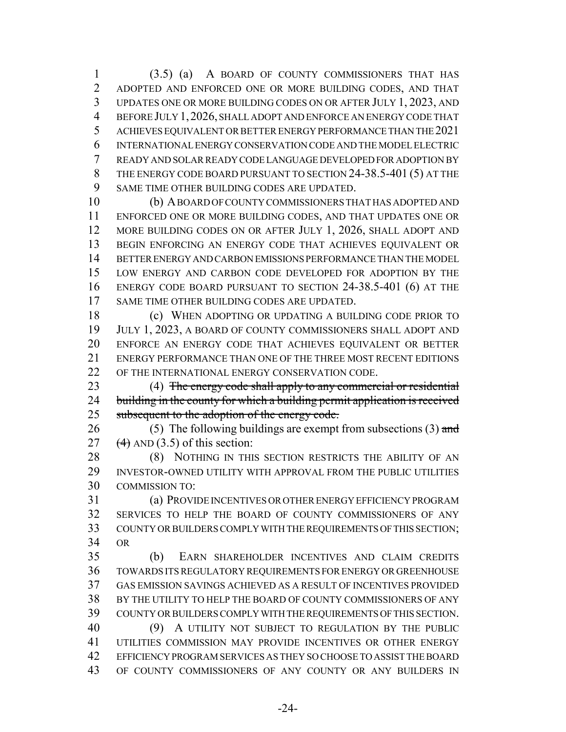(3.5) (a) A BOARD OF COUNTY COMMISSIONERS THAT HAS ADOPTED AND ENFORCED ONE OR MORE BUILDING CODES, AND THAT UPDATES ONE OR MORE BUILDING CODES ON OR AFTER JULY 1, 2023, AND BEFORE JULY 1,2026, SHALL ADOPT AND ENFORCE AN ENERGY CODE THAT ACHIEVES EQUIVALENT OR BETTER ENERGY PERFORMANCE THAN THE 2021 INTERNATIONAL ENERGY CONSERVATION CODE AND THE MODEL ELECTRIC READY AND SOLAR READY CODE LANGUAGE DEVELOPED FOR ADOPTION BY 8 THE ENERGY CODE BOARD PURSUANT TO SECTION 24-38.5-401 (5) AT THE SAME TIME OTHER BUILDING CODES ARE UPDATED.

 (b) A BOARD OF COUNTY COMMISSIONERS THAT HAS ADOPTED AND ENFORCED ONE OR MORE BUILDING CODES, AND THAT UPDATES ONE OR 12 MORE BUILDING CODES ON OR AFTER JULY 1, 2026, SHALL ADOPT AND BEGIN ENFORCING AN ENERGY CODE THAT ACHIEVES EQUIVALENT OR BETTER ENERGY AND CARBON EMISSIONS PERFORMANCE THAN THE MODEL LOW ENERGY AND CARBON CODE DEVELOPED FOR ADOPTION BY THE ENERGY CODE BOARD PURSUANT TO SECTION 24-38.5-401 (6) AT THE SAME TIME OTHER BUILDING CODES ARE UPDATED.

18 (c) WHEN ADOPTING OR UPDATING A BUILDING CODE PRIOR TO JULY 1, 2023, A BOARD OF COUNTY COMMISSIONERS SHALL ADOPT AND ENFORCE AN ENERGY CODE THAT ACHIEVES EQUIVALENT OR BETTER ENERGY PERFORMANCE THAN ONE OF THE THREE MOST RECENT EDITIONS 22 OF THE INTERNATIONAL ENERGY CONSERVATION CODE.

23 (4) The energy code shall apply to any commercial or residential 24 building in the county for which a building permit application is received 25 subsequent to the adoption of the energy code.

26 (5) The following buildings are exempt from subsections  $(3)$  and 27  $(4)$  AND (3.5) of this section:

28 (8) NOTHING IN THIS SECTION RESTRICTS THE ABILITY OF AN INVESTOR-OWNED UTILITY WITH APPROVAL FROM THE PUBLIC UTILITIES COMMISSION TO:

 (a) PROVIDE INCENTIVES OR OTHER ENERGY EFFICIENCY PROGRAM SERVICES TO HELP THE BOARD OF COUNTY COMMISSIONERS OF ANY COUNTY OR BUILDERS COMPLY WITH THE REQUIREMENTS OF THIS SECTION; OR

 (b) EARN SHAREHOLDER INCENTIVES AND CLAIM CREDITS TOWARDS ITS REGULATORY REQUIREMENTS FOR ENERGY OR GREENHOUSE GAS EMISSION SAVINGS ACHIEVED AS A RESULT OF INCENTIVES PROVIDED BY THE UTILITY TO HELP THE BOARD OF COUNTY COMMISSIONERS OF ANY COUNTY OR BUILDERS COMPLY WITH THE REQUIREMENTS OF THIS SECTION. (9) A UTILITY NOT SUBJECT TO REGULATION BY THE PUBLIC UTILITIES COMMISSION MAY PROVIDE INCENTIVES OR OTHER ENERGY EFFICIENCY PROGRAM SERVICES AS THEY SO CHOOSE TO ASSIST THE BOARD OF COUNTY COMMISSIONERS OF ANY COUNTY OR ANY BUILDERS IN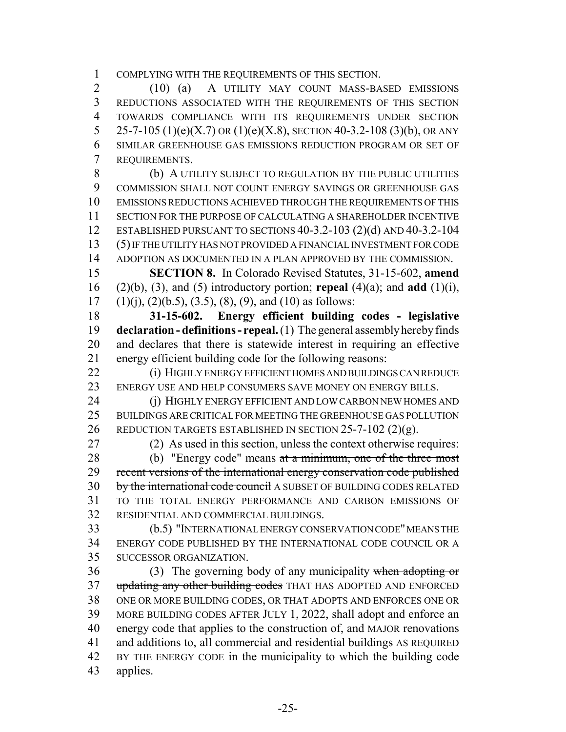COMPLYING WITH THE REQUIREMENTS OF THIS SECTION.

 (10) (a) A UTILITY MAY COUNT MASS-BASED EMISSIONS REDUCTIONS ASSOCIATED WITH THE REQUIREMENTS OF THIS SECTION TOWARDS COMPLIANCE WITH ITS REQUIREMENTS UNDER SECTION 5 25-7-105 (1)(e)(X.7) OR (1)(e)(X.8), SECTION 40-3.2-108 (3)(b), OR ANY SIMILAR GREENHOUSE GAS EMISSIONS REDUCTION PROGRAM OR SET OF REQUIREMENTS.

 (b) A UTILITY SUBJECT TO REGULATION BY THE PUBLIC UTILITIES COMMISSION SHALL NOT COUNT ENERGY SAVINGS OR GREENHOUSE GAS EMISSIONS REDUCTIONS ACHIEVED THROUGH THE REQUIREMENTS OF THIS SECTION FOR THE PURPOSE OF CALCULATING A SHAREHOLDER INCENTIVE ESTABLISHED PURSUANT TO SECTIONS 40-3.2-103 (2)(d) AND 40-3.2-104 (5) IF THE UTILITY HAS NOT PROVIDED A FINANCIAL INVESTMENT FOR CODE ADOPTION AS DOCUMENTED IN A PLAN APPROVED BY THE COMMISSION.

 **SECTION 8.** In Colorado Revised Statutes, 31-15-602, **amend** (2)(b), (3), and (5) introductory portion; **repeal** (4)(a); and **add** (1)(i), 17 (1)(j), (2)(b.5), (3.5), (8), (9), and (10) as follows:

 **31-15-602. Energy efficient building codes - legislative declaration - definitions - repeal.** (1) The general assembly hereby finds and declares that there is statewide interest in requiring an effective energy efficient building code for the following reasons:

 (i) HIGHLY ENERGY EFFICIENT HOMES AND BUILDINGS CAN REDUCE 23 ENERGY USE AND HELP CONSUMERS SAVE MONEY ON ENERGY BILLS.

24 (i) HIGHLY ENERGY EFFICIENT AND LOW CARBON NEW HOMES AND BUILDINGS ARE CRITICAL FOR MEETING THE GREENHOUSE GAS POLLUTION REDUCTION TARGETS ESTABLISHED IN SECTION 25-7-102 (2)(g).

 (2) As used in this section, unless the context otherwise requires: 28 (b) "Energy code" means at a minimum, one of the three most 29 recent versions of the international energy conservation code published 30 by the international code council A SUBSET OF BUILDING CODES RELATED TO THE TOTAL ENERGY PERFORMANCE AND CARBON EMISSIONS OF RESIDENTIAL AND COMMERCIAL BUILDINGS.

 (b.5) "INTERNATIONAL ENERGY CONSERVATION CODE" MEANS THE ENERGY CODE PUBLISHED BY THE INTERNATIONAL CODE COUNCIL OR A SUCCESSOR ORGANIZATION.

36 (3) The governing body of any municipality when adopting or 37 updating any other building codes THAT HAS ADOPTED AND ENFORCED ONE OR MORE BUILDING CODES, OR THAT ADOPTS AND ENFORCES ONE OR MORE BUILDING CODES AFTER JULY 1, 2022, shall adopt and enforce an energy code that applies to the construction of, and MAJOR renovations and additions to, all commercial and residential buildings AS REQUIRED BY THE ENERGY CODE in the municipality to which the building code applies.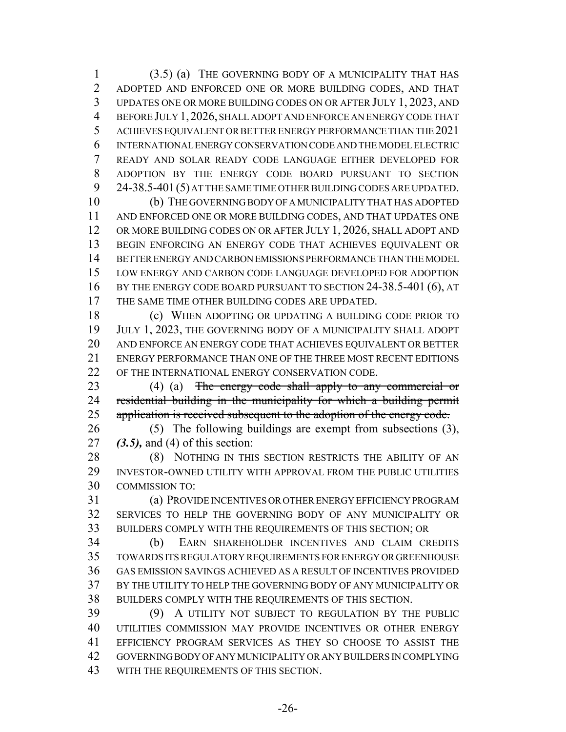(3.5) (a) THE GOVERNING BODY OF A MUNICIPALITY THAT HAS ADOPTED AND ENFORCED ONE OR MORE BUILDING CODES, AND THAT UPDATES ONE OR MORE BUILDING CODES ON OR AFTER JULY 1, 2023, AND BEFORE JULY 1,2026, SHALL ADOPT AND ENFORCE AN ENERGY CODE THAT ACHIEVES EQUIVALENT OR BETTER ENERGY PERFORMANCE THAN THE 2021 INTERNATIONAL ENERGY CONSERVATION CODE AND THE MODEL ELECTRIC READY AND SOLAR READY CODE LANGUAGE EITHER DEVELOPED FOR ADOPTION BY THE ENERGY CODE BOARD PURSUANT TO SECTION 24-38.5-401(5) AT THE SAME TIME OTHER BUILDING CODES ARE UPDATED.

 (b) THE GOVERNING BODY OF A MUNICIPALITY THAT HAS ADOPTED AND ENFORCED ONE OR MORE BUILDING CODES, AND THAT UPDATES ONE 12 OR MORE BUILDING CODES ON OR AFTER JULY 1, 2026, SHALL ADOPT AND BEGIN ENFORCING AN ENERGY CODE THAT ACHIEVES EQUIVALENT OR BETTER ENERGY AND CARBON EMISSIONS PERFORMANCE THAN THE MODEL LOW ENERGY AND CARBON CODE LANGUAGE DEVELOPED FOR ADOPTION BY THE ENERGY CODE BOARD PURSUANT TO SECTION 24-38.5-401 (6), AT THE SAME TIME OTHER BUILDING CODES ARE UPDATED.

18 (c) WHEN ADOPTING OR UPDATING A BUILDING CODE PRIOR TO JULY 1, 2023, THE GOVERNING BODY OF A MUNICIPALITY SHALL ADOPT AND ENFORCE AN ENERGY CODE THAT ACHIEVES EQUIVALENT OR BETTER ENERGY PERFORMANCE THAN ONE OF THE THREE MOST RECENT EDITIONS 22 OF THE INTERNATIONAL ENERGY CONSERVATION CODE.

23 (4) (a) The energy code shall apply to any commercial or residential building in the municipality for which a building permit 25 application is received subsequent to the adoption of the energy code.

 (5) The following buildings are exempt from subsections (3), *(3.5),* and (4) of this section:

28 (8) NOTHING IN THIS SECTION RESTRICTS THE ABILITY OF AN INVESTOR-OWNED UTILITY WITH APPROVAL FROM THE PUBLIC UTILITIES COMMISSION TO:

 (a) PROVIDE INCENTIVES OR OTHER ENERGY EFFICIENCY PROGRAM SERVICES TO HELP THE GOVERNING BODY OF ANY MUNICIPALITY OR BUILDERS COMPLY WITH THE REQUIREMENTS OF THIS SECTION; OR

 (b) EARN SHAREHOLDER INCENTIVES AND CLAIM CREDITS TOWARDS ITS REGULATORY REQUIREMENTS FOR ENERGY OR GREENHOUSE GAS EMISSION SAVINGS ACHIEVED AS A RESULT OF INCENTIVES PROVIDED BY THE UTILITY TO HELP THE GOVERNING BODY OF ANY MUNICIPALITY OR BUILDERS COMPLY WITH THE REQUIREMENTS OF THIS SECTION.

 (9) A UTILITY NOT SUBJECT TO REGULATION BY THE PUBLIC UTILITIES COMMISSION MAY PROVIDE INCENTIVES OR OTHER ENERGY EFFICIENCY PROGRAM SERVICES AS THEY SO CHOOSE TO ASSIST THE GOVERNING BODY OF ANY MUNICIPALITY OR ANY BUILDERS IN COMPLYING WITH THE REQUIREMENTS OF THIS SECTION.